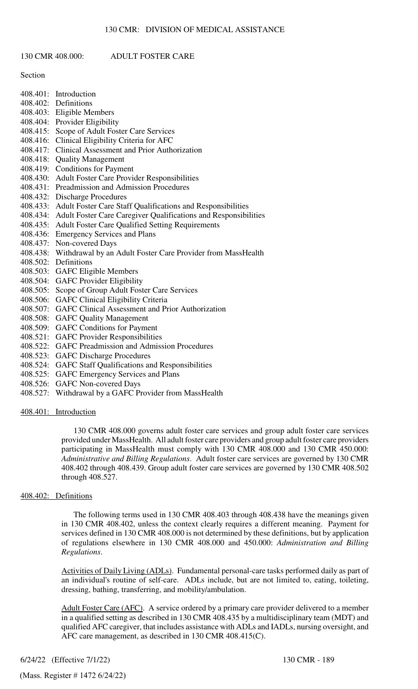# 130 CMR 408.000: ADULT FOSTER CARE

## Section

|          | 408.401: Introduction                                           |
|----------|-----------------------------------------------------------------|
|          | 408.402: Definitions                                            |
|          | 408.403: Eligible Members                                       |
| 408.404: | Provider Eligibility                                            |
| 408.415: | Scope of Adult Foster Care Services                             |
| 408.416: | Clinical Eligibility Criteria for AFC                           |
| 408.417: | Clinical Assessment and Prior Authorization                     |
| 408.418: | <b>Quality Management</b>                                       |
| 408.419: | <b>Conditions for Payment</b>                                   |
| 408.430: | <b>Adult Foster Care Provider Responsibilities</b>              |
| 408.431: | Preadmission and Admission Procedures                           |
| 408.432: | <b>Discharge Procedures</b>                                     |
| 408.433: | Adult Foster Care Staff Qualifications and Responsibilities     |
| 408.434: | Adult Foster Care Caregiver Qualifications and Responsibilities |
| 408.435: | <b>Adult Foster Care Qualified Setting Requirements</b>         |
| 408.436: | <b>Emergency Services and Plans</b>                             |
| 408.437: | Non-covered Days                                                |
| 408.438: | Withdrawal by an Adult Foster Care Provider from MassHealth     |
| 408.502: | Definitions                                                     |
| 408.503: | <b>GAFC Eligible Members</b>                                    |
| 408.504: | <b>GAFC Provider Eligibility</b>                                |
| 408.505: | Scope of Group Adult Foster Care Services                       |
|          |                                                                 |

- 408.506: GAFC Clinical Eligibility Criteria
- 408.507: GAFC Clinical Assessment and Prior Authorization
- 408.508: GAFC Quality Management
- 408.509: GAFC Conditions for Payment
- 408.521: GAFC Provider Responsibilities
- 408.522: GAFC Preadmission and Admission Procedures
- 408.523: GAFC Discharge Procedures
- 408.524: GAFC Staff Qualifications and Responsibilities
- 408.525: GAFC Emergency Services and Plans
- 408.526: GAFC Non-covered Days
- 408.527: Withdrawal by a GAFC Provider from MassHealth

408.401: Introduction

130 CMR 408.000 governs adult foster care services and group adult foster care services provided under MassHealth. All adult foster care providers and group adult foster care providers participating in MassHealth must comply with 130 CMR 408.000 and 130 CMR 450.000: *Administrative and Billing Regulations*. Adult foster care services are governed by 130 CMR 408.402 through 408.439. Group adult foster care services are governed by 130 CMR 408.502 through 408.527.

## 408.402: Definitions

The following terms used in 130 CMR 408.403 through 408.438 have the meanings given in 130 CMR 408.402, unless the context clearly requires a different meaning. Payment for services defined in 130 CMR 408.000 is not determined by these definitions, but by application of regulations elsewhere in 130 CMR 408.000 and 450.000: *Administration and Billing Regulations*.

Activities of Daily Living (ADLs). Fundamental personal-care tasks performed daily as part of an individual's routine of self-care. ADLs include, but are not limited to, eating, toileting, dressing, bathing, transferring, and mobility/ambulation.

Adult Foster Care (AFC). A service ordered by a primary care provider delivered to a member in a qualified setting as described in 130 CMR 408.435 by a multidisciplinary team (MDT) and qualified AFC caregiver, that includes assistance with ADLs and IADLs, nursing oversight, and AFC care management, as described in 130 CMR 408.415(C).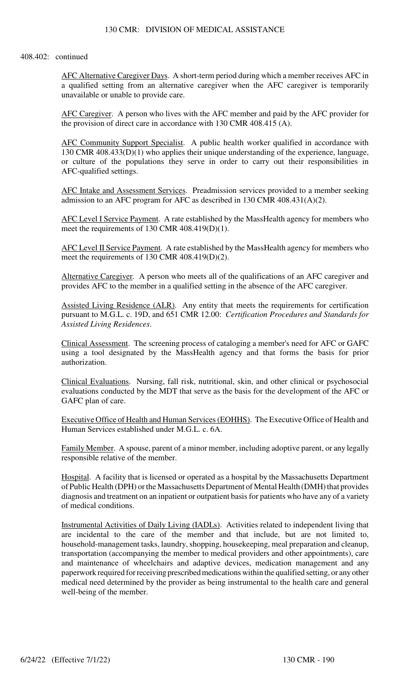#### 408.402: continued

AFC Alternative Caregiver Days. A short-term period during which a member receives AFC in a qualified setting from an alternative caregiver when the AFC caregiver is temporarily unavailable or unable to provide care.

AFC Caregiver. A person who lives with the AFC member and paid by the AFC provider for the provision of direct care in accordance with 130 CMR 408.415 (A).

AFC Community Support Specialist. A public health worker qualified in accordance with 130 CMR 408.433(D)(1) who applies their unique understanding of the experience, language, or culture of the populations they serve in order to carry out their responsibilities in AFC-qualified settings.

AFC Intake and Assessment Services. Preadmission services provided to a member seeking admission to an AFC program for AFC as described in 130 CMR 408.431(A)(2).

AFC Level I Service Payment. A rate established by the MassHealth agency for members who meet the requirements of 130 CMR 408.419(D)(1).

AFC Level II Service Payment. A rate established by the MassHealth agency for members who meet the requirements of 130 CMR 408.419(D)(2).

Alternative Caregiver. A person who meets all of the qualifications of an AFC caregiver and provides AFC to the member in a qualified setting in the absence of the AFC caregiver.

Assisted Living Residence (ALR). Any entity that meets the requirements for certification pursuant to M.G.L. c. 19D, and 651 CMR 12.00: *Certification Procedures and Standards for Assisted Living Residences*.

Clinical Assessment. The screening process of cataloging a member's need for AFC or GAFC using a tool designated by the MassHealth agency and that forms the basis for prior authorization.

Clinical Evaluations. Nursing, fall risk, nutritional, skin, and other clinical or psychosocial evaluations conducted by the MDT that serve as the basis for the development of the AFC or GAFC plan of care.

Executive Office of Health and Human Services (EOHHS). The Executive Office of Health and Human Services established under M.G.L. c. 6A.

Family Member. A spouse, parent of a minor member, including adoptive parent, or any legally responsible relative of the member.

Hospital. A facility that is licensed or operated as a hospital by the Massachusetts Department of Public Health (DPH) or the Massachusetts Department of Mental Health (DMH) that provides diagnosis and treatment on an inpatient or outpatient basis for patients who have any of a variety of medical conditions.

Instrumental Activities of Daily Living (IADLs). Activities related to independent living that are incidental to the care of the member and that include, but are not limited to, household-management tasks, laundry, shopping, housekeeping, meal preparation and cleanup, transportation (accompanying the member to medical providers and other appointments), care and maintenance of wheelchairs and adaptive devices, medication management and any paperwork required for receiving prescribed medications within the qualified setting, or any other medical need determined by the provider as being instrumental to the health care and general well-being of the member.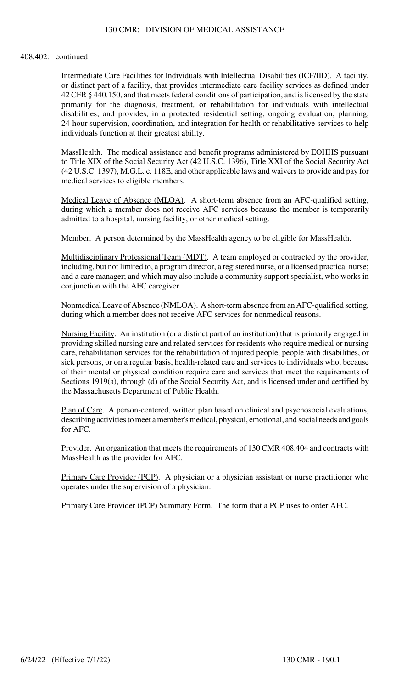## 130 CMR: DIVISION OF MEDICAL ASSISTANCE

#### 408.402: continued

Intermediate Care Facilities for Individuals with Intellectual Disabilities (ICF/IID). A facility, or distinct part of a facility, that provides intermediate care facility services as defined under 42 CFR § 440.150, and that meets federal conditions of participation, and is licensed by the state primarily for the diagnosis, treatment, or rehabilitation for individuals with intellectual disabilities; and provides, in a protected residential setting, ongoing evaluation, planning, 24-hour supervision, coordination, and integration for health or rehabilitative services to help individuals function at their greatest ability.

MassHealth. The medical assistance and benefit programs administered by EOHHS pursuant to Title XIX of the Social Security Act (42 U.S.C. 1396), Title XXI of the Social Security Act (42 U.S.C. 1397), M.G.L. c. 118E, and other applicable laws and waivers to provide and pay for medical services to eligible members.

Medical Leave of Absence (MLOA). A short-term absence from an AFC-qualified setting, during which a member does not receive AFC services because the member is temporarily admitted to a hospital, nursing facility, or other medical setting.

Member. A person determined by the MassHealth agency to be eligible for MassHealth.

Multidisciplinary Professional Team (MDT). A team employed or contracted by the provider, including, but not limited to, a program director, a registered nurse, or a licensed practical nurse; and a care manager; and which may also include a community support specialist, who works in conjunction with the AFC caregiver.

Nonmedical Leave of Absence (NMLOA). A short-term absence from an AFC-qualified setting, during which a member does not receive AFC services for nonmedical reasons.

Nursing Facility. An institution (or a distinct part of an institution) that is primarily engaged in providing skilled nursing care and related services for residents who require medical or nursing care, rehabilitation services for the rehabilitation of injured people, people with disabilities, or sick persons, or on a regular basis, health-related care and services to individuals who, because of their mental or physical condition require care and services that meet the requirements of Sections 1919(a), through (d) of the Social Security Act, and is licensed under and certified by the Massachusetts Department of Public Health.

Plan of Care. A person-centered, written plan based on clinical and psychosocial evaluations, describing activities to meet a member's medical, physical, emotional, and social needs and goals for AFC.

Provider. An organization that meets the requirements of 130 CMR 408.404 and contracts with MassHealth as the provider for AFC.

Primary Care Provider (PCP). A physician or a physician assistant or nurse practitioner who operates under the supervision of a physician.

Primary Care Provider (PCP) Summary Form. The form that a PCP uses to order AFC.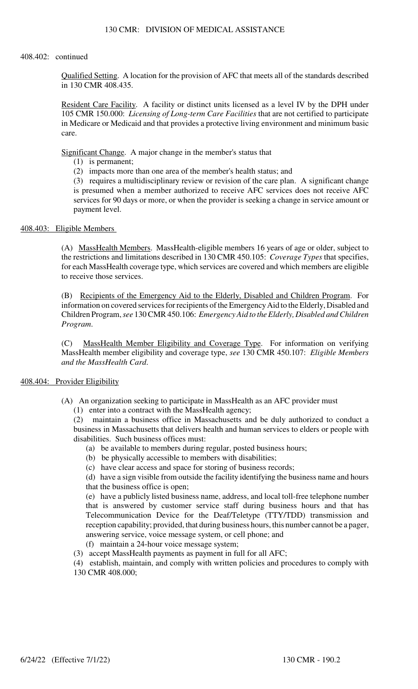#### 408.402: continued

Qualified Setting. A location for the provision of AFC that meets all of the standards described in 130 CMR 408.435.

Resident Care Facility. A facility or distinct units licensed as a level IV by the DPH under 105 CMR 150.000: *Licensing of Long-term Care Facilities* that are not certified to participate in Medicare or Medicaid and that provides a protective living environment and minimum basic care.

Significant Change. A major change in the member's status that

(1) is permanent;

(2) impacts more than one area of the member's health status; and

(3) requires a multidisciplinary review or revision of the care plan. A significant change is presumed when a member authorized to receive AFC services does not receive AFC services for 90 days or more, or when the provider is seeking a change in service amount or payment level.

# 408.403: Eligible Members

(A) MassHealth Members. MassHealth-eligible members 16 years of age or older, subject to the restrictions and limitations described in 130 CMR 450.105: *Coverage Types* that specifies, for each MassHealth coverage type, which services are covered and which members are eligible to receive those services.

(B) Recipients of the Emergency Aid to the Elderly, Disabled and Children Program. For information on covered services for recipients of the Emergency Aid to the Elderly, Disabled and Children Program, *see* 130 CMR 450.106: *Emergency Aid to the Elderly, Disabled and Children Program*.

(C) MassHealth Member Eligibility and Coverage Type. For information on verifying MassHealth member eligibility and coverage type, *see* 130 CMR 450.107: *Eligible Members and the MassHealth Card*.

## 408.404: Provider Eligibility

- (A) An organization seeking to participate in MassHealth as an AFC provider must
	- (1) enter into a contract with the MassHealth agency;

(2) maintain a business office in Massachusetts and be duly authorized to conduct a business in Massachusetts that delivers health and human services to elders or people with disabilities. Such business offices must:

- (a) be available to members during regular, posted business hours;
- (b) be physically accessible to members with disabilities;
- (c) have clear access and space for storing of business records;

(d) have a sign visible from outside the facility identifying the business name and hours that the business office is open;

(e) have a publicly listed business name, address, and local toll-free telephone number that is answered by customer service staff during business hours and that has Telecommunication Device for the Deaf/Teletype (TTY/TDD) transmission and reception capability; provided, that during business hours, this number cannot be a pager, answering service, voice message system, or cell phone; and (f) maintain a 24-hour voice message system;

(3) accept MassHealth payments as payment in full for all AFC;

(4) establish, maintain, and comply with written policies and procedures to comply with 130 CMR 408.000;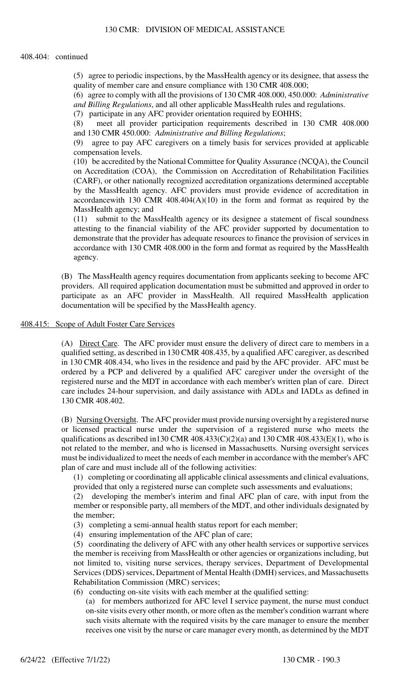#### 408.404: continued

(5) agree to periodic inspections, by the MassHealth agency or its designee, that assess the quality of member care and ensure compliance with 130 CMR 408.000;

(6) agree to comply with all the provisions of 130 CMR 408.000, 450.000: *Administrative and Billing Regulations*, and all other applicable MassHealth rules and regulations.

(7) participate in any AFC provider orientation required by EOHHS;

(8) meet all provider participation requirements described in 130 CMR 408.000 and 130 CMR 450.000: *Administrative and Billing Regulations*;

(9) agree to pay AFC caregivers on a timely basis for services provided at applicable compensation levels.

(10) be accredited by the National Committee for Quality Assurance (NCQA), the Council on Accreditation (COA), the Commission on Accreditation of Rehabilitation Facilities (CARF), or other nationally recognized accreditation organizations determined acceptable by the MassHealth agency. AFC providers must provide evidence of accreditation in accordancewith 130 CMR  $408.404(A)(10)$  in the form and format as required by the MassHealth agency; and

(11) submit to the MassHealth agency or its designee a statement of fiscal soundness attesting to the financial viability of the AFC provider supported by documentation to demonstrate that the provider has adequate resources to finance the provision of services in accordance with 130 CMR 408.000 in the form and format as required by the MassHealth agency.

(B) The MassHealth agency requires documentation from applicants seeking to become AFC providers. All required application documentation must be submitted and approved in order to participate as an AFC provider in MassHealth. All required MassHealth application documentation will be specified by the MassHealth agency.

#### 408.415: Scope of Adult Foster Care Services

(A) Direct Care. The AFC provider must ensure the delivery of direct care to members in a qualified setting, as described in 130 CMR 408.435, by a qualified AFC caregiver, as described in 130 CMR 408.434, who lives in the residence and paid by the AFC provider. AFC must be ordered by a PCP and delivered by a qualified AFC caregiver under the oversight of the registered nurse and the MDT in accordance with each member's written plan of care. Direct care includes 24-hour supervision, and daily assistance with ADLs and IADLs as defined in 130 CMR 408.402.

(B) Nursing Oversight. The AFC provider must provide nursing oversight by a registered nurse or licensed practical nurse under the supervision of a registered nurse who meets the qualifications as described in 130 CMR  $408.433(C)(2)(a)$  and 130 CMR  $408.433(E)(1)$ , who is not related to the member, and who is licensed in Massachusetts. Nursing oversight services must be individualized to meet the needs of each member in accordance with the member's AFC plan of care and must include all of the following activities:

(1) completing or coordinating all applicable clinical assessments and clinical evaluations, provided that only a registered nurse can complete such assessments and evaluations;

(2) developing the member's interim and final AFC plan of care, with input from the member or responsible party, all members of the MDT, and other individuals designated by the member;

- (3) completing a semi-annual health status report for each member;
- (4) ensuring implementation of the AFC plan of care;

(5) coordinating the delivery of AFC with any other health services or supportive services the member is receiving from MassHealth or other agencies or organizations including, but not limited to, visiting nurse services, therapy services, Department of Developmental Services (DDS) services, Department of Mental Health (DMH) services, and Massachusetts Rehabilitation Commission (MRC) services;

(6) conducting on-site visits with each member at the qualified setting:

(a) for members authorized for AFC level I service payment, the nurse must conduct on-site visits every other month, or more often as the member's condition warrant where such visits alternate with the required visits by the care manager to ensure the member receives one visit by the nurse or care manager every month, as determined by the MDT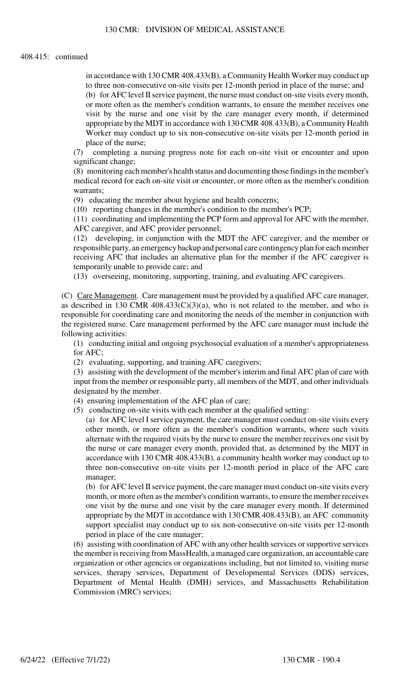in accordance with 130 CMR 408.433(B), a Community Health Worker may conduct up to three non-consecutive on-site visits per 12-month period in place of the nurse; and (b) for AFC level II service payment, the nurse must conduct on-site visits every month, or more often as the member's condition warrants, to ensure the member receives one visit by the nurse and one visit by the care manager every month, if determined appropriate by the MDT in accordance with 130 CMR 408.433(B), a Community Health Worker may conduct up to six non-consecutive on-site visits per 12-month period in place of the nurse;

(7) completing a nursing progress note for each on-site visit or encounter and upon significant change;

(8) monitoring each member's health status and documenting those findings in the member's medical record for each on-site visit or encounter, or more often as the member's condition warrants;

(9) educating the member about hygiene and health concerns;

(10) reporting changes in the member's condition to the member's PCP;

(11) coordinating and implementing the PCP form and approval for AFC with the member, AFC caregiver, and AFC provider personnel;

(12) developing, in conjunction with the MDT the AFC caregiver, and the member or responsible party, an emergency backup and personal care contingency plan for each member receiving AFC that includes an alternative plan for the member if the AFC caregiver is temporarily unable to provide care; and

(13) overseeing, monitoring, supporting, training, and evaluating AFC caregivers.

(C) Care Management. Care management must be provided by a qualified AFC care manager, as described in 130 CMR  $408.433(C)(3)(a)$ , who is not related to the member, and who is responsible for coordinating care and monitoring the needs of the member in conjunction with the registered nurse. Care management performed by the AFC care manager must include the following activities:

(1) conducting initial and ongoing psychosocial evaluation of a member's appropriateness for AFC;

(2) evaluating, supporting, and training AFC caregivers;

(3) assisting with the development of the member's interim and final AFC plan of care with input from the member or responsible party, all members of the MDT, and other individuals designated by the member.

(4) ensuring implementation of the AFC plan of care;

(5) conducting on-site visits with each member at the qualified setting:

(a) for AFC level I service payment, the care manager must conduct on-site visits every other month, or more often as the member's condition warrants, where such visits alternate with the required visits by the nurse to ensure the member receives one visit by the nurse or care manager every month, provided that, as determined by the MDT in accordance with 130 CMR 408.433(B), a community health worker may conduct up to three non-consecutive on-site visits per 12-month period in place of the AFC care manager;

(b) for AFC level II service payment, the care manager must conduct on-site visits every month, or more often as the member's condition warrants, to ensure the member receives one visit by the nurse and one visit by the care manager every month. If determined appropriate by the MDT in accordance with 130 CMR 408.433(B), an AFC community support specialist may conduct up to six non-consecutive on-site visits per 12-month period in place of the care manager;

(6) assisting with coordination of AFC with any other health services or supportive services the member is receiving from MassHealth, a managed care organization, an accountable care organization or other agencies or organizations including, but not limited to, visiting nurse services, therapy services, Department of Developmental Services (DDS) services, Department of Mental Health (DMH) services, and Massachusetts Rehabilitation Commission (MRC) services;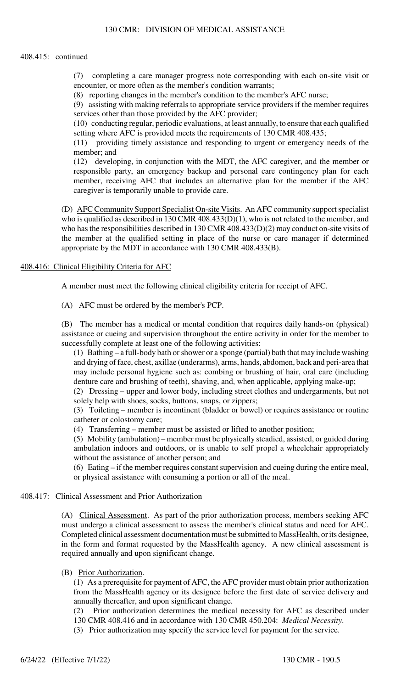## 130 CMR: DIVISION OF MEDICAL ASSISTANCE

#### 408.415: continued

(7) completing a care manager progress note corresponding with each on-site visit or encounter, or more often as the member's condition warrants;

(8) reporting changes in the member's condition to the member's AFC nurse;

(9) assisting with making referrals to appropriate service providers if the member requires services other than those provided by the AFC provider;

(10) conducting regular, periodic evaluations, at least annually, to ensure that each qualified setting where AFC is provided meets the requirements of 130 CMR 408.435;

(11) providing timely assistance and responding to urgent or emergency needs of the member; and

(12) developing, in conjunction with the MDT, the AFC caregiver, and the member or responsible party, an emergency backup and personal care contingency plan for each member, receiving AFC that includes an alternative plan for the member if the AFC caregiver is temporarily unable to provide care.

(D) AFC Community Support Specialist On-site Visits. An AFC community support specialist who is qualified as described in 130 CMR 408.433(D)(1), who is not related to the member, and who has the responsibilities described in 130 CMR 408.433(D)(2) may conduct on-site visits of the member at the qualified setting in place of the nurse or care manager if determined appropriate by the MDT in accordance with 130 CMR 408.433(B).

## 408.416: Clinical Eligibility Criteria for AFC

A member must meet the following clinical eligibility criteria for receipt of AFC.

(A) AFC must be ordered by the member's PCP.

(B) The member has a medical or mental condition that requires daily hands-on (physical) assistance or cueing and supervision throughout the entire activity in order for the member to successfully complete at least one of the following activities:

(1) Bathing – a full-body bath or shower or a sponge (partial) bath that may include washing and drying of face, chest, axillae (underarms), arms, hands, abdomen, back and peri-area that may include personal hygiene such as: combing or brushing of hair, oral care (including denture care and brushing of teeth), shaving, and, when applicable, applying make-up;

(2) Dressing – upper and lower body, including street clothes and undergarments, but not solely help with shoes, socks, buttons, snaps, or zippers;

(3) Toileting – member is incontinent (bladder or bowel) or requires assistance or routine catheter or colostomy care;

(4) Transferring – member must be assisted or lifted to another position;

(5) Mobility (ambulation) – member must be physically steadied, assisted, or guided during ambulation indoors and outdoors, or is unable to self propel a wheelchair appropriately without the assistance of another person; and

(6) Eating – if the member requires constant supervision and cueing during the entire meal, or physical assistance with consuming a portion or all of the meal.

#### 408.417: Clinical Assessment and Prior Authorization

(A) Clinical Assessment. As part of the prior authorization process, members seeking AFC must undergo a clinical assessment to assess the member's clinical status and need for AFC. Completed clinical assessment documentation must be submitted to MassHealth, or its designee, in the form and format requested by the MassHealth agency. A new clinical assessment is required annually and upon significant change.

#### (B) Prior Authorization.

(1) As a prerequisite for payment of AFC, the AFC provider must obtain prior authorization from the MassHealth agency or its designee before the first date of service delivery and annually thereafter, and upon significant change.

(2) Prior authorization determines the medical necessity for AFC as described under 130 CMR 408.416 and in accordance with 130 CMR 450.204: *Medical Necessity*.

(3) Prior authorization may specify the service level for payment for the service.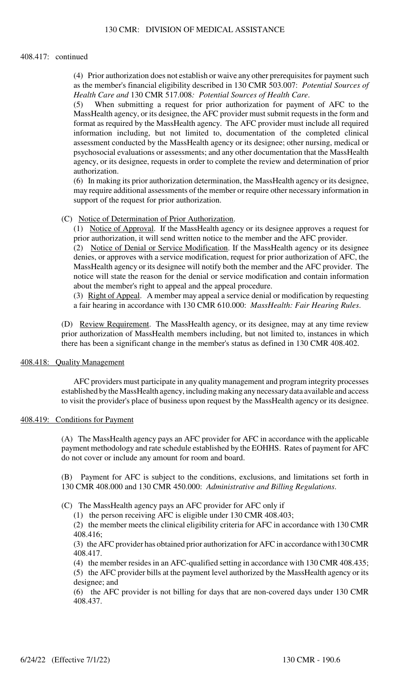#### 408.417: continued

(4) Prior authorization does not establish or waive any other prerequisites for payment such as the member's financial eligibility described in 130 CMR 503.007: *Potential Sources of Health Care and* 130 CMR 517.008*: Potential Sources of Health Care*.

(5) When submitting a request for prior authorization for payment of AFC to the MassHealth agency, or its designee, the AFC provider must submit requests in the form and format as required by the MassHealth agency. The AFC provider must include all required information including, but not limited to, documentation of the completed clinical assessment conducted by the MassHealth agency or its designee; other nursing, medical or psychosocial evaluations or assessments; and any other documentation that the MassHealth agency, or its designee, requests in order to complete the review and determination of prior authorization.

(6) In making its prior authorization determination, the MassHealth agency or its designee, may require additional assessments of the member or require other necessary information in support of the request for prior authorization.

#### (C) Notice of Determination of Prior Authorization.

(1) Notice of Approval. If the MassHealth agency or its designee approves a request for prior authorization, it will send written notice to the member and the AFC provider.

(2) Notice of Denial or Service Modification. If the MassHealth agency or its designee denies, or approves with a service modification, request for prior authorization of AFC, the MassHealth agency or its designee will notify both the member and the AFC provider. The notice will state the reason for the denial or service modification and contain information about the member's right to appeal and the appeal procedure.

(3) Right of Appeal. A member may appeal a service denial or modification by requesting a fair hearing in accordance with 130 CMR 610.000: *MassHealth: Fair Hearing Rules*.

(D) Review Requirement. The MassHealth agency, or its designee, may at any time review prior authorization of MassHealth members including, but not limited to, instances in which there has been a significant change in the member's status as defined in 130 CMR 408.402.

## 408.418: Quality Management

AFC providers must participate in any quality management and program integrity processes established by the MassHealth agency, including making any necessary data available and access to visit the provider's place of business upon request by the MassHealth agency or its designee.

## 408.419: Conditions for Payment

(A) The MassHealth agency pays an AFC provider for AFC in accordance with the applicable payment methodology and rate schedule established by the EOHHS. Rates of payment for AFC do not cover or include any amount for room and board.

(B) Payment for AFC is subject to the conditions, exclusions, and limitations set forth in 130 CMR 408.000 and 130 CMR 450.000: *Administrative and Billing Regulations*.

- (C) The MassHealth agency pays an AFC provider for AFC only if
	- (1) the person receiving AFC is eligible under 130 CMR 408.403;

(2) the member meets the clinical eligibility criteria for AFC in accordance with 130 CMR 408.416;

(3) the AFC provider has obtained prior authorization for AFC in accordance with130 CMR 408.417.

(4) the member resides in an AFC-qualified setting in accordance with 130 CMR 408.435;

(5) the AFC provider bills at the payment level authorized by the MassHealth agency or its designee; and

(6) the AFC provider is not billing for days that are non-covered days under 130 CMR 408.437.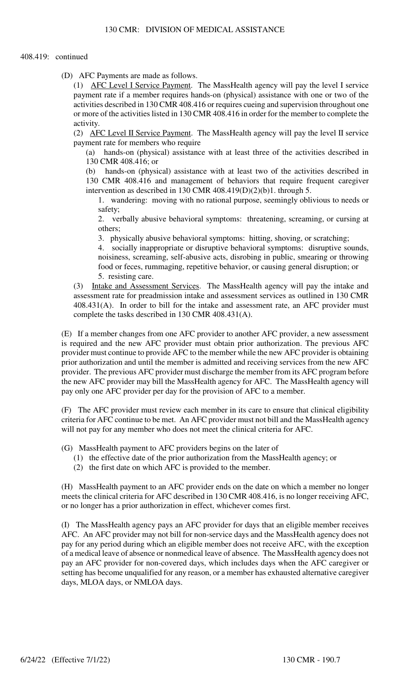#### 408.419: continued

(D) AFC Payments are made as follows.

(1) AFC Level I Service Payment. The MassHealth agency will pay the level I service payment rate if a member requires hands-on (physical) assistance with one or two of the activities described in 130 CMR 408.416 or requires cueing and supervision throughout one or more of the activities listed in 130 CMR 408.416 in order for the member to complete the activity.

(2) AFC Level II Service Payment. The MassHealth agency will pay the level II service payment rate for members who require

(a) hands-on (physical) assistance with at least three of the activities described in 130 CMR 408.416; or

(b) hands-on (physical) assistance with at least two of the activities described in 130 CMR 408.416 and management of behaviors that require frequent caregiver intervention as described in 130 CMR 408.419(D)(2)(b)1. through 5.

1. wandering: moving with no rational purpose, seemingly oblivious to needs or safety;

2. verbally abusive behavioral symptoms: threatening, screaming, or cursing at others;

3. physically abusive behavioral symptoms: hitting, shoving, or scratching;

4. socially inappropriate or disruptive behavioral symptoms: disruptive sounds, noisiness, screaming, self-abusive acts, disrobing in public, smearing or throwing food or feces, rummaging, repetitive behavior, or causing general disruption; or 5. resisting care.

(3) Intake and Assessment Services. The MassHealth agency will pay the intake and assessment rate for preadmission intake and assessment services as outlined in 130 CMR 408.431(A). In order to bill for the intake and assessment rate, an AFC provider must complete the tasks described in 130 CMR 408.431(A).

(E) If a member changes from one AFC provider to another AFC provider, a new assessment is required and the new AFC provider must obtain prior authorization. The previous AFC provider must continue to provide AFC to the member while the new AFC provider is obtaining prior authorization and until the member is admitted and receiving services from the new AFC provider. The previous AFC provider must discharge the member from its AFC program before the new AFC provider may bill the MassHealth agency for AFC. The MassHealth agency will pay only one AFC provider per day for the provision of AFC to a member.

(F) The AFC provider must review each member in its care to ensure that clinical eligibility criteria for AFC continue to be met. An AFC provider must not bill and the MassHealth agency will not pay for any member who does not meet the clinical criteria for AFC.

(G) MassHealth payment to AFC providers begins on the later of

- (1) the effective date of the prior authorization from the MassHealth agency; or
- (2) the first date on which AFC is provided to the member.

(H) MassHealth payment to an AFC provider ends on the date on which a member no longer meets the clinical criteria for AFC described in 130 CMR 408.416, is no longer receiving AFC, or no longer has a prior authorization in effect, whichever comes first.

(I) The MassHealth agency pays an AFC provider for days that an eligible member receives AFC. An AFC provider may not bill for non-service days and the MassHealth agency does not pay for any period during which an eligible member does not receive AFC, with the exception of a medical leave of absence or nonmedical leave of absence. The MassHealth agency does not pay an AFC provider for non-covered days, which includes days when the AFC caregiver or setting has become unqualified for any reason, or a member has exhausted alternative caregiver days, MLOA days, or NMLOA days.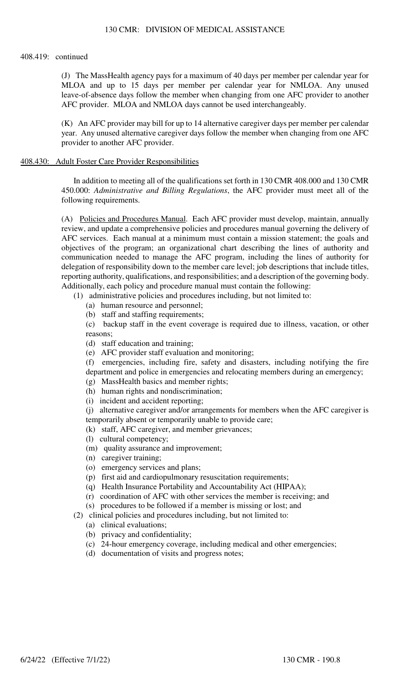#### 408.419: continued

(J) The MassHealth agency pays for a maximum of 40 days per member per calendar year for MLOA and up to 15 days per member per calendar year for NMLOA. Any unused leave-of-absence days follow the member when changing from one AFC provider to another AFC provider. MLOA and NMLOA days cannot be used interchangeably.

(K) An AFC provider may bill for up to 14 alternative caregiver days per member per calendar year. Any unused alternative caregiver days follow the member when changing from one AFC provider to another AFC provider.

#### 408.430: Adult Foster Care Provider Responsibilities

In addition to meeting all of the qualifications set forth in 130 CMR 408.000 and 130 CMR 450.000: *Administrative and Billing Regulations*, the AFC provider must meet all of the following requirements.

(A) Policies and Procedures Manual. Each AFC provider must develop, maintain, annually review, and update a comprehensive policies and procedures manual governing the delivery of AFC services. Each manual at a minimum must contain a mission statement; the goals and objectives of the program; an organizational chart describing the lines of authority and communication needed to manage the AFC program, including the lines of authority for delegation of responsibility down to the member care level; job descriptions that include titles, reporting authority, qualifications, and responsibilities; and a description of the governing body. Additionally, each policy and procedure manual must contain the following:

(1) administrative policies and procedures including, but not limited to:

- (a) human resource and personnel;
- (b) staff and staffing requirements;

(c) backup staff in the event coverage is required due to illness, vacation, or other reasons;

- (d) staff education and training;
- (e) AFC provider staff evaluation and monitoring;

(f) emergencies, including fire, safety and disasters, including notifying the fire department and police in emergencies and relocating members during an emergency;

- (g) MassHealth basics and member rights;
- (h) human rights and nondiscrimination;
- (i) incident and accident reporting;

(j) alternative caregiver and/or arrangements for members when the AFC caregiver is temporarily absent or temporarily unable to provide care;

- (k) staff, AFC caregiver, and member grievances;
- (l) cultural competency;
- (m) quality assurance and improvement;
- (n) caregiver training;
- (o) emergency services and plans;
- (p) first aid and cardiopulmonary resuscitation requirements;
- (q) Health Insurance Portability and Accountability Act (HIPAA);
- (r) coordination of AFC with other services the member is receiving; and
- (s) procedures to be followed if a member is missing or lost; and
- (2) clinical policies and procedures including, but not limited to:
	- (a) clinical evaluations;
	- (b) privacy and confidentiality;
	- (c) 24-hour emergency coverage, including medical and other emergencies;
	- (d) documentation of visits and progress notes;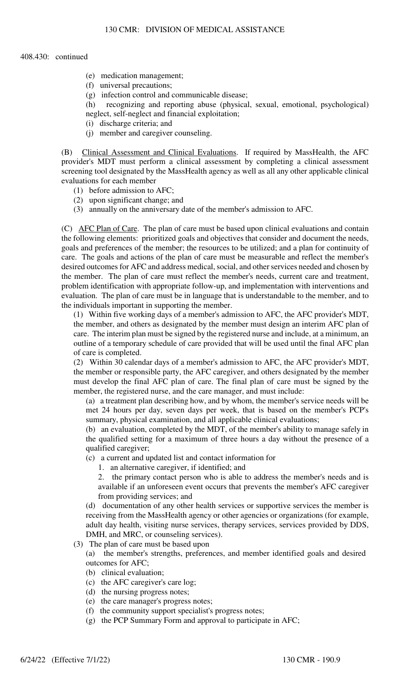- (e) medication management;
- (f) universal precautions;
- (g) infection control and communicable disease;
- (h) recognizing and reporting abuse (physical, sexual, emotional, psychological) neglect, self-neglect and financial exploitation;
- (i) discharge criteria; and
- (j) member and caregiver counseling.

(B) Clinical Assessment and Clinical Evaluations. If required by MassHealth, the AFC provider's MDT must perform a clinical assessment by completing a clinical assessment screening tool designated by the MassHealth agency as well as all any other applicable clinical evaluations for each member

- (1) before admission to AFC;
- (2) upon significant change; and
- (3) annually on the anniversary date of the member's admission to AFC.

(C) AFC Plan of Care. The plan of care must be based upon clinical evaluations and contain the following elements: prioritized goals and objectives that consider and document the needs, goals and preferences of the member; the resources to be utilized; and a plan for continuity of care. The goals and actions of the plan of care must be measurable and reflect the member's desired outcomes for AFC and address medical, social, and other services needed and chosen by the member. The plan of care must reflect the member's needs, current care and treatment, problem identification with appropriate follow-up, and implementation with interventions and evaluation. The plan of care must be in language that is understandable to the member, and to the individuals important in supporting the member.

(1) Within five working days of a member's admission to AFC, the AFC provider's MDT, the member, and others as designated by the member must design an interim AFC plan of care. The interim plan must be signed by the registered nurse and include, at a minimum, an outline of a temporary schedule of care provided that will be used until the final AFC plan of care is completed.

(2) Within 30 calendar days of a member's admission to AFC, the AFC provider's MDT, the member or responsible party, the AFC caregiver, and others designated by the member must develop the final AFC plan of care. The final plan of care must be signed by the member, the registered nurse, and the care manager, and must include:

(a) a treatment plan describing how, and by whom, the member's service needs will be met 24 hours per day, seven days per week, that is based on the member's PCP's summary, physical examination, and all applicable clinical evaluations;

(b) an evaluation, completed by the MDT, of the member's ability to manage safely in the qualified setting for a maximum of three hours a day without the presence of a qualified caregiver;

- (c) a current and updated list and contact information for
	- 1. an alternative caregiver, if identified; and

2. the primary contact person who is able to address the member's needs and is available if an unforeseen event occurs that prevents the member's AFC caregiver from providing services; and

(d) documentation of any other health services or supportive services the member is receiving from the MassHealth agency or other agencies or organizations (for example, adult day health, visiting nurse services, therapy services, services provided by DDS, DMH, and MRC, or counseling services).

- (3) The plan of care must be based upon
	- (a) the member's strengths, preferences, and member identified goals and desired outcomes for AFC;
	- (b) clinical evaluation;
	- (c) the AFC caregiver's care log;
	- (d) the nursing progress notes;
	- (e) the care manager's progress notes;
	- (f) the community support specialist's progress notes;
	- (g) the PCP Summary Form and approval to participate in AFC;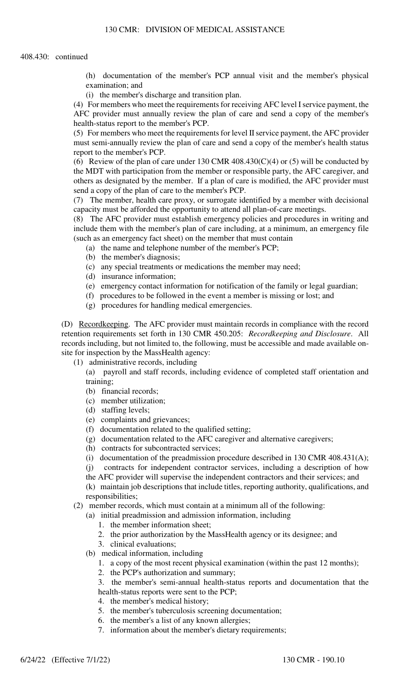- (h) documentation of the member's PCP annual visit and the member's physical examination; and
- (i) the member's discharge and transition plan.

(4) For members who meet the requirements for receiving AFC level I service payment, the AFC provider must annually review the plan of care and send a copy of the member's health-status report to the member's PCP.

(5) For members who meet the requirements for level II service payment, the AFC provider must semi-annually review the plan of care and send a copy of the member's health status report to the member's PCP.

(6) Review of the plan of care under 130 CMR 408.430(C)(4) or (5) will be conducted by the MDT with participation from the member or responsible party, the AFC caregiver, and others as designated by the member. If a plan of care is modified, the AFC provider must send a copy of the plan of care to the member's PCP.

(7) The member, health care proxy, or surrogate identified by a member with decisional capacity must be afforded the opportunity to attend all plan-of-care meetings.

(8) The AFC provider must establish emergency policies and procedures in writing and include them with the member's plan of care including, at a minimum, an emergency file (such as an emergency fact sheet) on the member that must contain

- (a) the name and telephone number of the member's PCP;
- (b) the member's diagnosis;
- (c) any special treatments or medications the member may need;
- (d) insurance information;
- (e) emergency contact information for notification of the family or legal guardian;
- (f) procedures to be followed in the event a member is missing or lost; and
- (g) procedures for handling medical emergencies.

(D) Recordkeeping. The AFC provider must maintain records in compliance with the record retention requirements set forth in 130 CMR 450.205: *Recordkeeping and Disclosure*. All records including, but not limited to, the following, must be accessible and made available onsite for inspection by the MassHealth agency:

(1) administrative records, including

(a) payroll and staff records, including evidence of completed staff orientation and training;

- (b) financial records;
- (c) member utilization;
- (d) staffing levels;
- (e) complaints and grievances;
- (f) documentation related to the qualified setting;
- (g) documentation related to the AFC caregiver and alternative caregivers;
- (h) contracts for subcontracted services;
- (i) documentation of the preadmission procedure described in 130 CMR 408.431(A);

(j) contracts for independent contractor services, including a description of how

the AFC provider will supervise the independent contractors and their services; and (k) maintain job descriptions that include titles, reporting authority, qualifications, and responsibilities;

(2) member records, which must contain at a minimum all of the following:

- (a) initial preadmission and admission information, including
	- 1. the member information sheet;
	- 2. the prior authorization by the MassHealth agency or its designee; and
	- 3. clinical evaluations;
- (b) medical information, including
	- 1. a copy of the most recent physical examination (within the past 12 months);
	- 2. the PCP's authorization and summary;

3. the member's semi-annual health-status reports and documentation that the health-status reports were sent to the PCP;

- 4. the member's medical history;
- 5. the member's tuberculosis screening documentation;
- 6. the member's a list of any known allergies;
- 7. information about the member's dietary requirements;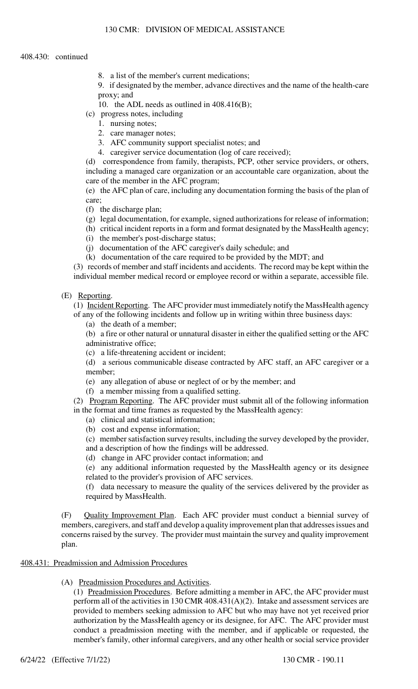8. a list of the member's current medications;

9. if designated by the member, advance directives and the name of the health-care proxy; and

- 10. the ADL needs as outlined in 408.416(B);
- (c) progress notes, including
	- 1. nursing notes;
	- 2. care manager notes;
	- 3. AFC community support specialist notes; and
	- 4. caregiver service documentation (log of care received);

(d) correspondence from family, therapists, PCP, other service providers, or others, including a managed care organization or an accountable care organization, about the care of the member in the AFC program;

(e) the AFC plan of care, including any documentation forming the basis of the plan of care;

- (f) the discharge plan;
- (g) legal documentation, for example, signed authorizations for release of information;
- (h) critical incident reports in a form and format designated by the MassHealth agency;
- (i) the member's post-discharge status;
- (j) documentation of the AFC caregiver's daily schedule; and
- (k) documentation of the care required to be provided by the MDT; and

(3) records of member and staff incidents and accidents. The record may be kept within the individual member medical record or employee record or within a separate, accessible file.

#### (E) Reporting.

(1) Incident Reporting. The AFC provider must immediately notify the MassHealth agency of any of the following incidents and follow up in writing within three business days:

(a) the death of a member;

(b) a fire or other natural or unnatural disaster in either the qualified setting or the AFC administrative office;

- (c) a life-threatening accident or incident;
- (d) a serious communicable disease contracted by AFC staff, an AFC caregiver or a member;
- (e) any allegation of abuse or neglect of or by the member; and
- (f) a member missing from a qualified setting.

(2) Program Reporting. The AFC provider must submit all of the following information in the format and time frames as requested by the MassHealth agency:

- (a) clinical and statistical information;
- (b) cost and expense information;

(c) member satisfaction survey results, including the survey developed by the provider, and a description of how the findings will be addressed.

(d) change in AFC provider contact information; and

(e) any additional information requested by the MassHealth agency or its designee related to the provider's provision of AFC services.

(f) data necessary to measure the quality of the services delivered by the provider as required by MassHealth.

(F) Quality Improvement Plan. Each AFC provider must conduct a biennial survey of members, caregivers, and staff and develop a quality improvement plan that addresses issues and concerns raised by the survey. The provider must maintain the survey and quality improvement plan.

## 408.431: Preadmission and Admission Procedures

(A) Preadmission Procedures and Activities.

(1) Preadmission Procedures. Before admitting a member in AFC, the AFC provider must perform all of the activities in 130 CMR  $408.431(A)(2)$ . Intake and assessment services are provided to members seeking admission to AFC but who may have not yet received prior authorization by the MassHealth agency or its designee, for AFC. The AFC provider must conduct a preadmission meeting with the member, and if applicable or requested, the member's family, other informal caregivers, and any other health or social service provider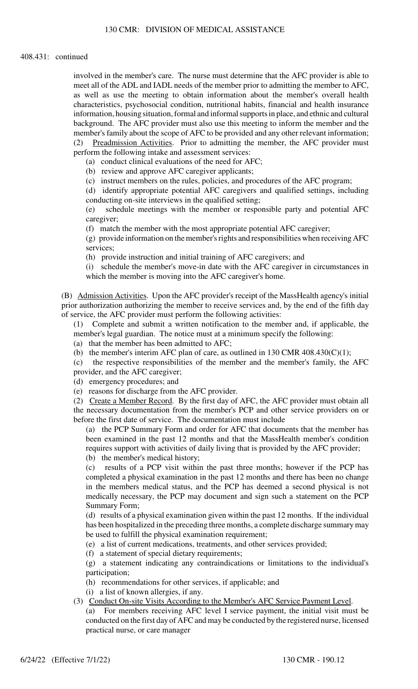#### 408.431: continued

involved in the member's care. The nurse must determine that the AFC provider is able to meet all of the ADL and IADL needs of the member prior to admitting the member to AFC, as well as use the meeting to obtain information about the member's overall health characteristics, psychosocial condition, nutritional habits, financial and health insurance information, housing situation, formal and informal supports in place, and ethnic and cultural background. The AFC provider must also use this meeting to inform the member and the member's family about the scope of AFC to be provided and any other relevant information; (2) Preadmission Activities. Prior to admitting the member, the AFC provider must perform the following intake and assessment services:

(a) conduct clinical evaluations of the need for AFC;

(b) review and approve AFC caregiver applicants;

(c) instruct members on the rules, policies, and procedures of the AFC program;

(d) identify appropriate potential AFC caregivers and qualified settings, including conducting on-site interviews in the qualified setting;

(e) schedule meetings with the member or responsible party and potential AFC caregiver;

(f) match the member with the most appropriate potential AFC caregiver;

(g) provide information on the member's rights and responsibilities when receiving AFC services;

(h) provide instruction and initial training of AFC caregivers; and

(i) schedule the member's move-in date with the AFC caregiver in circumstances in which the member is moving into the AFC caregiver's home.

(B) Admission Activities. Upon the AFC provider's receipt of the MassHealth agency's initial prior authorization authorizing the member to receive services and, by the end of the fifth day of service, the AFC provider must perform the following activities:

(1) Complete and submit a written notification to the member and, if applicable, the member's legal guardian. The notice must at a minimum specify the following:

(a) that the member has been admitted to AFC;

(b) the member's interim AFC plan of care, as outlined in 130 CMR  $408.430(C)(1)$ ;

(c) the respective responsibilities of the member and the member's family, the AFC provider, and the AFC caregiver;

(d) emergency procedures; and

(e) reasons for discharge from the AFC provider.

(2) Create a Member Record. By the first day of AFC, the AFC provider must obtain all the necessary documentation from the member's PCP and other service providers on or before the first date of service. The documentation must include

(a) the PCP Summary Form and order for AFC that documents that the member has been examined in the past 12 months and that the MassHealth member's condition requires support with activities of daily living that is provided by the AFC provider;

(b) the member's medical history;

(c) results of a PCP visit within the past three months; however if the PCP has completed a physical examination in the past 12 months and there has been no change in the members medical status, and the PCP has deemed a second physical is not medically necessary, the PCP may document and sign such a statement on the PCP Summary Form;

(d) results of a physical examination given within the past 12 months. If the individual has been hospitalized in the preceding three months, a complete discharge summary may be used to fulfill the physical examination requirement;

(e) a list of current medications, treatments, and other services provided;

(f) a statement of special dietary requirements;

(g) a statement indicating any contraindications or limitations to the individual's participation;

(h) recommendations for other services, if applicable; and

(i) a list of known allergies, if any.

(3) Conduct On-site Visits According to the Member's AFC Service Payment Level.

(a) For members receiving AFC level I service payment, the initial visit must be conducted on the first day of AFC and may be conducted by the registered nurse, licensed practical nurse, or care manager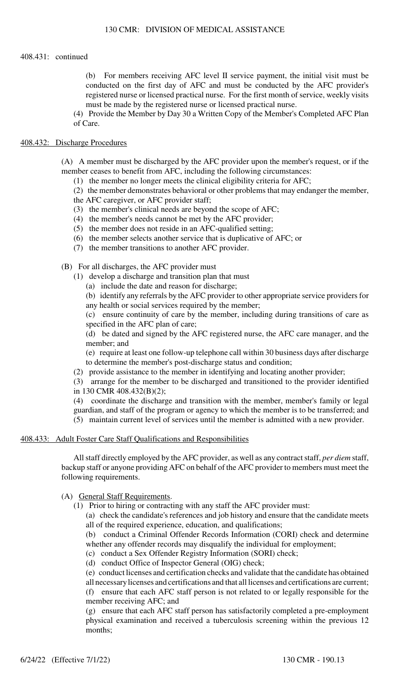#### 408.431: continued

(b) For members receiving AFC level II service payment, the initial visit must be conducted on the first day of AFC and must be conducted by the AFC provider's registered nurse or licensed practical nurse. For the first month of service, weekly visits must be made by the registered nurse or licensed practical nurse.

(4) Provide the Member by Day 30 a Written Copy of the Member's Completed AFC Plan of Care.

## 408.432: Discharge Procedures

(A) A member must be discharged by the AFC provider upon the member's request, or if the member ceases to benefit from AFC, including the following circumstances:

(1) the member no longer meets the clinical eligibility criteria for AFC;

- (2) the member demonstrates behavioral or other problems that may endanger the member,
- the AFC caregiver, or AFC provider staff;
- (3) the member's clinical needs are beyond the scope of AFC;
- (4) the member's needs cannot be met by the AFC provider;
- (5) the member does not reside in an AFC-qualified setting;
- (6) the member selects another service that is duplicative of AFC; or
- (7) the member transitions to another AFC provider.

(B) For all discharges, the AFC provider must

- (1) develop a discharge and transition plan that must
	- (a) include the date and reason for discharge;
	- (b) identify any referrals by the AFC provider to other appropriate service providers for any health or social services required by the member;

(c) ensure continuity of care by the member, including during transitions of care as specified in the AFC plan of care;

(d) be dated and signed by the AFC registered nurse, the AFC care manager, and the member; and

(e) require at least one follow-up telephone call within 30 business days after discharge to determine the member's post-discharge status and condition;

(2) provide assistance to the member in identifying and locating another provider;

(3) arrange for the member to be discharged and transitioned to the provider identified in 130 CMR 408.432(B)(2);

(4) coordinate the discharge and transition with the member, member's family or legal guardian, and staff of the program or agency to which the member is to be transferred; and (5) maintain current level of services until the member is admitted with a new provider.

# 408.433: Adult Foster Care Staff Qualifications and Responsibilities

All staff directly employed by the AFC provider, as well as any contract staff, *per diem* staff, backup staff or anyone providing AFC on behalf of the AFC provider to members must meet the following requirements.

## (A) General Staff Requirements.

(1) Prior to hiring or contracting with any staff the AFC provider must:

(a) check the candidate's references and job history and ensure that the candidate meets all of the required experience, education, and qualifications;

(b) conduct a Criminal Offender Records Information (CORI) check and determine

whether any offender records may disqualify the individual for employment;

(c) conduct a Sex Offender Registry Information (SORI) check;

(d) conduct Office of Inspector General (OIG) check;

(e) conduct licenses and certification checks and validate that the candidate has obtained

all necessary licenses and certifications and that all licenses and certifications are current; (f) ensure that each AFC staff person is not related to or legally responsible for the member receiving AFC; and

(g) ensure that each AFC staff person has satisfactorily completed a pre-employment physical examination and received a tuberculosis screening within the previous 12 months;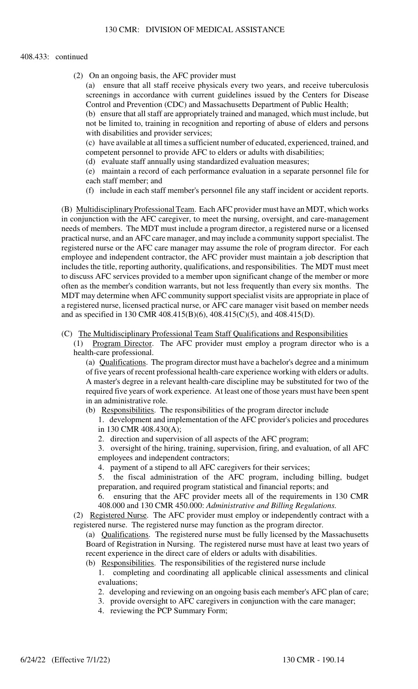#### 408.433: continued

(2) On an ongoing basis, the AFC provider must

(a) ensure that all staff receive physicals every two years, and receive tuberculosis screenings in accordance with current guidelines issued by the Centers for Disease Control and Prevention (CDC) and Massachusetts Department of Public Health;

(b) ensure that all staff are appropriately trained and managed, which must include, but not be limited to, training in recognition and reporting of abuse of elders and persons with disabilities and provider services;

(c) have available at all times a sufficient number of educated, experienced, trained, and competent personnel to provide AFC to elders or adults with disabilities;

(d) evaluate staff annually using standardized evaluation measures;

(e) maintain a record of each performance evaluation in a separate personnel file for each staff member; and

(f) include in each staff member's personnel file any staff incident or accident reports.

(B) Multidisciplinary Professional Team. Each AFC provider must have an MDT, which works in conjunction with the AFC caregiver, to meet the nursing, oversight, and care-management needs of members. The MDT must include a program director, a registered nurse or a licensed practical nurse, and an AFC care manager, and may include a community support specialist. The registered nurse or the AFC care manager may assume the role of program director. For each employee and independent contractor, the AFC provider must maintain a job description that includes the title, reporting authority, qualifications, and responsibilities. The MDT must meet to discuss AFC services provided to a member upon significant change of the member or more often as the member's condition warrants, but not less frequently than every six months. The MDT may determine when AFC community support specialist visits are appropriate in place of a registered nurse, licensed practical nurse, or AFC care manager visit based on member needs and as specified in 130 CMR 408.415(B)(6), 408.415(C)(5), and 408.415(D).

## (C) The Multidisciplinary Professional Team Staff Qualifications and Responsibilities

(1) Program Director. The AFC provider must employ a program director who is a health-care professional.

(a) Qualifications. The program director must have a bachelor's degree and a minimum of five years of recent professional health-care experience working with elders or adults. A master's degree in a relevant health-care discipline may be substituted for two of the required five years of work experience. At least one of those years must have been spent in an administrative role.

(b) Responsibilities. The responsibilities of the program director include

1. development and implementation of the AFC provider's policies and procedures in 130 CMR 408.430(A);

2. direction and supervision of all aspects of the AFC program;

3. oversight of the hiring, training, supervision, firing, and evaluation, of all AFC employees and independent contractors;

4. payment of a stipend to all AFC caregivers for their services;

5. the fiscal administration of the AFC program, including billing, budget preparation, and required program statistical and financial reports; and

6. ensuring that the AFC provider meets all of the requirements in 130 CMR 408.000 and 130 CMR 450.000: *Administrative and Billing Regulations.*

(2) Registered Nurse. The AFC provider must employ or independently contract with a registered nurse. The registered nurse may function as the program director.

- (a) Qualifications. The registered nurse must be fully licensed by the Massachusetts Board of Registration in Nursing. The registered nurse must have at least two years of recent experience in the direct care of elders or adults with disabilities.
- (b) Responsibilities. The responsibilities of the registered nurse include

1. completing and coordinating all applicable clinical assessments and clinical evaluations;

- 2. developing and reviewing on an ongoing basis each member's AFC plan of care;
- 3. provide oversight to AFC caregivers in conjunction with the care manager;
- 4. reviewing the PCP Summary Form;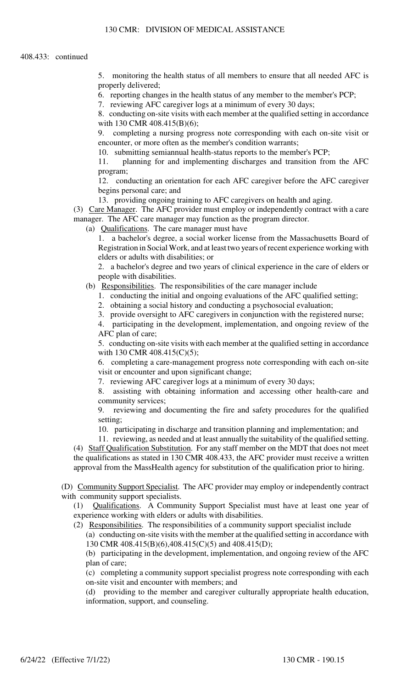5. monitoring the health status of all members to ensure that all needed AFC is properly delivered;

6. reporting changes in the health status of any member to the member's PCP;

7. reviewing AFC caregiver logs at a minimum of every 30 days;

8. conducting on-site visits with each member at the qualified setting in accordance with 130 CMR 408.415(B)(6);

9. completing a nursing progress note corresponding with each on-site visit or encounter, or more often as the member's condition warrants;

10. submitting semiannual health-status reports to the member's PCP;

11. planning for and implementing discharges and transition from the AFC program;

12. conducting an orientation for each AFC caregiver before the AFC caregiver begins personal care; and

13. providing ongoing training to AFC caregivers on health and aging.

(3) Care Manager. The AFC provider must employ or independently contract with a care manager. The AFC care manager may function as the program director.

(a) Qualifications. The care manager must have

1. a bachelor's degree, a social worker license from the Massachusetts Board of Registration in Social Work, and at least two years of recent experience working with elders or adults with disabilities; or

2. a bachelor's degree and two years of clinical experience in the care of elders or people with disabilities.

(b) Responsibilities. The responsibilities of the care manager include

1. conducting the initial and ongoing evaluations of the AFC qualified setting;

2. obtaining a social history and conducting a psychosocial evaluation;

3. provide oversight to AFC caregivers in conjunction with the registered nurse;

4. participating in the development, implementation, and ongoing review of the AFC plan of care;

5. conducting on-site visits with each member at the qualified setting in accordance with 130 CMR 408.415(C)(5);

6. completing a care-management progress note corresponding with each on-site visit or encounter and upon significant change;

7. reviewing AFC caregiver logs at a minimum of every 30 days;

8. assisting with obtaining information and accessing other health-care and community services;

9. reviewing and documenting the fire and safety procedures for the qualified setting;

10. participating in discharge and transition planning and implementation; and

11. reviewing, as needed and at least annually the suitability of the qualified setting. (4) Staff Qualification Substitution. For any staff member on the MDT that does not meet the qualifications as stated in 130 CMR 408.433, the AFC provider must receive a written approval from the MassHealth agency for substitution of the qualification prior to hiring.

(D) Community Support Specialist. The AFC provider may employ or independently contract with community support specialists.

(1) Qualifications. A Community Support Specialist must have at least one year of experience working with elders or adults with disabilities.

(2) Responsibilities. The responsibilities of a community support specialist include

(a) conducting on-site visits with the member at the qualified setting in accordance with 130 CMR 408.415(B)(6),408.415(C)(5) and 408.415(D);

(b) participating in the development, implementation, and ongoing review of the AFC plan of care;

(c) completing a community support specialist progress note corresponding with each on-site visit and encounter with members; and

(d) providing to the member and caregiver culturally appropriate health education, information, support, and counseling.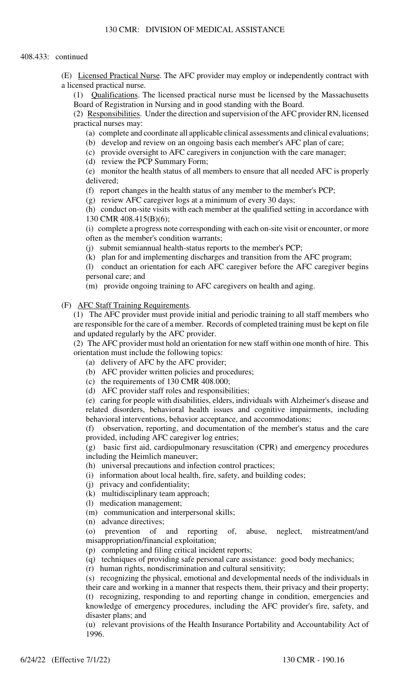(E) Licensed Practical Nurse. The AFC provider may employ or independently contract with a licensed practical nurse.

(1) Qualifications. The licensed practical nurse must be licensed by the Massachusetts Board of Registration in Nursing and in good standing with the Board.

(2) Responsibilities. Under the direction and supervision of the AFC provider RN, licensed practical nurses may:

(a) complete and coordinate all applicable clinical assessments and clinical evaluations;

(b) develop and review on an ongoing basis each member's AFC plan of care;

(c) provide oversight to AFC caregivers in conjunction with the care manager;

(d) review the PCP Summary Form;

(e) monitor the health status of all members to ensure that all needed AFC is properly delivered;

(f) report changes in the health status of any member to the member's PCP;

(g) review AFC caregiver logs at a minimum of every 30 days;

(h) conduct on-site visits with each member at the qualified setting in accordance with 130 CMR 408.415(B)(6);

(i) complete a progress note corresponding with each on-site visit or encounter, or more often as the member's condition warrants;

(j) submit semiannual health-status reports to the member's PCP;

(k) plan for and implementing discharges and transition from the AFC program;

(l) conduct an orientation for each AFC caregiver before the AFC caregiver begins personal care; and

(m) provide ongoing training to AFC caregivers on health and aging.

(F) AFC Staff Training Requirements.

(1) The AFC provider must provide initial and periodic training to all staff members who are responsible for the care of a member. Records of completed training must be kept on file and updated regularly by the AFC provider.

(2) The AFC provider must hold an orientation for new staff within one month of hire. This orientation must include the following topics:

- (a) delivery of AFC by the AFC provider;
- (b) AFC provider written policies and procedures;
- (c) the requirements of 130 CMR 408.000;
- (d) AFC provider staff roles and responsibilities;

(e) caring for people with disabilities, elders, individuals with Alzheimer's disease and related disorders, behavioral health issues and cognitive impairments, including behavioral interventions, behavior acceptance, and accommodations;

(f) observation, reporting, and documentation of the member's status and the care provided, including AFC caregiver log entries;

(g) basic first aid, cardiopulmonary resuscitation (CPR) and emergency procedures including the Heimlich maneuver;

(h) universal precautions and infection control practices;

- (i) information about local health, fire, safety, and building codes;
- (j) privacy and confidentiality;
- (k) multidisciplinary team approach;
- (l) medication management;
- (m) communication and interpersonal skills;
- (n) advance directives;

(o) prevention of and reporting of, abuse, neglect, mistreatment/and misappropriation/financial exploitation;

(p) completing and filing critical incident reports;

(q) techniques of providing safe personal care assistance: good body mechanics;

(r) human rights, nondiscrimination and cultural sensitivity;

(s) recognizing the physical, emotional and developmental needs of the individuals in their care and working in a manner that respects them, their privacy and their property; (t) recognizing, responding to and reporting change in condition, emergencies and knowledge of emergency procedures, including the AFC provider's fire, safety, and disaster plans; and

(u) relevant provisions of the Health Insurance Portability and Accountability Act of 1996.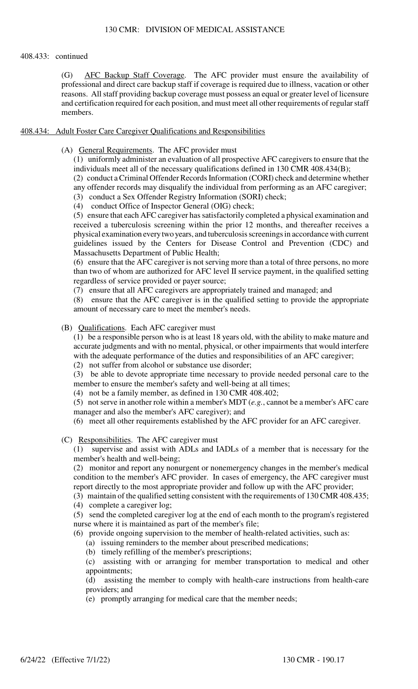# 408.433: continued

(G) AFC Backup Staff Coverage. The AFC provider must ensure the availability of professional and direct care backup staff if coverage is required due to illness, vacation or other reasons. All staff providing backup coverage must possess an equal or greater level of licensure and certification required for each position, and must meet all other requirements of regular staff members.

# 408.434: Adult Foster Care Caregiver Qualifications and Responsibilities

(A) General Requirements. The AFC provider must

(1) uniformly administer an evaluation of all prospective AFC caregivers to ensure that the individuals meet all of the necessary qualifications defined in 130 CMR 408.434(B);

(2) conduct a Criminal Offender Records Information (CORI) check and determine whether any offender records may disqualify the individual from performing as an AFC caregiver;

(3) conduct a Sex Offender Registry Information (SORI) check;

(4) conduct Office of Inspector General (OIG) check;

(5) ensure that each AFC caregiver has satisfactorily completed a physical examination and received a tuberculosis screening within the prior 12 months, and thereafter receives a physical examination every two years, and tuberculosis screenings in accordance with current guidelines issued by the Centers for Disease Control and Prevention (CDC) and Massachusetts Department of Public Health;

(6) ensure that the AFC caregiver is not serving more than a total of three persons, no more than two of whom are authorized for AFC level II service payment, in the qualified setting regardless of service provided or payer source;

(7) ensure that all AFC caregivers are appropriately trained and managed; and

(8) ensure that the AFC caregiver is in the qualified setting to provide the appropriate amount of necessary care to meet the member's needs.

## (B) Qualifications. Each AFC caregiver must

(1) be a responsible person who is at least 18 years old, with the ability to make mature and accurate judgments and with no mental, physical, or other impairments that would interfere with the adequate performance of the duties and responsibilities of an AFC caregiver;

(2) not suffer from alcohol or substance use disorder;

(3) be able to devote appropriate time necessary to provide needed personal care to the member to ensure the member's safety and well-being at all times;

(4) not be a family member, as defined in 130 CMR 408.402;

(5) not serve in another role within a member's MDT (*e.g.*, cannot be a member's AFC care manager and also the member's AFC caregiver); and

(6) meet all other requirements established by the AFC provider for an AFC caregiver.

(C) Responsibilities. The AFC caregiver must

(1) supervise and assist with ADLs and IADLs of a member that is necessary for the member's health and well-being;

(2) monitor and report any nonurgent or nonemergency changes in the member's medical condition to the member's AFC provider. In cases of emergency, the AFC caregiver must report directly to the most appropriate provider and follow up with the AFC provider;

(3) maintain of the qualified setting consistent with the requirements of 130 CMR 408.435;

(4) complete a caregiver log;

(5) send the completed caregiver log at the end of each month to the program's registered nurse where it is maintained as part of the member's file;

(6) provide ongoing supervision to the member of health-related activities, such as:

(a) issuing reminders to the member about prescribed medications;

(b) timely refilling of the member's prescriptions;

(c) assisting with or arranging for member transportation to medical and other appointments;

(d) assisting the member to comply with health-care instructions from health-care providers; and

(e) promptly arranging for medical care that the member needs;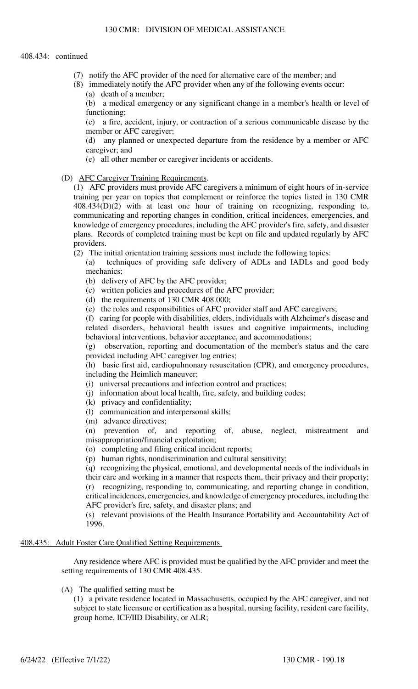- (7) notify the AFC provider of the need for alternative care of the member; and
- (8) immediately notify the AFC provider when any of the following events occur: (a) death of a member;

(b) a medical emergency or any significant change in a member's health or level of functioning;

(c) a fire, accident, injury, or contraction of a serious communicable disease by the member or AFC caregiver;

(d) any planned or unexpected departure from the residence by a member or AFC caregiver; and

(e) all other member or caregiver incidents or accidents.

(D) AFC Caregiver Training Requirements.

(1) AFC providers must provide AFC caregivers a minimum of eight hours of in-service training per year on topics that complement or reinforce the topics listed in 130 CMR 408.434(D)(2) with at least one hour of training on recognizing, responding to, communicating and reporting changes in condition, critical incidences, emergencies, and knowledge of emergency procedures, including the AFC provider's fire, safety, and disaster plans. Records of completed training must be kept on file and updated regularly by AFC providers.

(2) The initial orientation training sessions must include the following topics:

(a) techniques of providing safe delivery of ADLs and IADLs and good body mechanics;

- (b) delivery of AFC by the AFC provider;
- (c) written policies and procedures of the AFC provider;
- (d) the requirements of 130 CMR 408.000;

(e) the roles and responsibilities of AFC provider staff and AFC caregivers;

(f) caring for people with disabilities, elders, individuals with Alzheimer's disease and related disorders, behavioral health issues and cognitive impairments, including behavioral interventions, behavior acceptance, and accommodations;

(g) observation, reporting and documentation of the member's status and the care provided including AFC caregiver log entries;

(h) basic first aid, cardiopulmonary resuscitation (CPR), and emergency procedures, including the Heimlich maneuver;

(i) universal precautions and infection control and practices;

- (j) information about local health, fire, safety, and building codes;
- (k) privacy and confidentiality;
- (l) communication and interpersonal skills;
- (m) advance directives;

(n) prevention of, and reporting of, abuse, neglect, mistreatment and misappropriation/financial exploitation;

- (o) completing and filing critical incident reports;
- (p) human rights, nondiscrimination and cultural sensitivity;

(q) recognizing the physical, emotional, and developmental needs of the individuals in their care and working in a manner that respects them, their privacy and their property; (r) recognizing, responding to, communicating, and reporting change in condition, critical incidences, emergencies, and knowledge of emergency procedures, including the AFC provider's fire, safety, and disaster plans; and

(s) relevant provisions of the Health Insurance Portability and Accountability Act of 1996.

# 408.435: Adult Foster Care Qualified Setting Requirements

Any residence where AFC is provided must be qualified by the AFC provider and meet the setting requirements of 130 CMR 408.435.

## (A) The qualified setting must be

(1) a private residence located in Massachusetts, occupied by the AFC caregiver, and not subject to state licensure or certification as a hospital, nursing facility, resident care facility, group home, ICF/IID Disability, or ALR;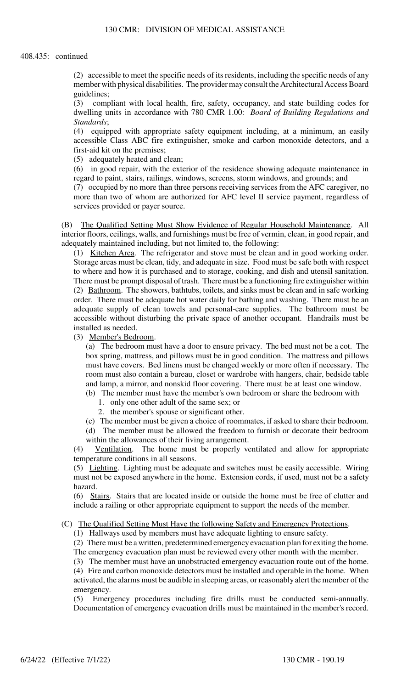(2) accessible to meet the specific needs of its residents, including the specific needs of any member with physical disabilities. The provider may consult the Architectural Access Board guidelines;

(3) compliant with local health, fire, safety, occupancy, and state building codes for dwelling units in accordance with 780 CMR 1.00: *Board of Building Regulations and Standards*;

(4) equipped with appropriate safety equipment including, at a minimum, an easily accessible Class ABC fire extinguisher, smoke and carbon monoxide detectors, and a first-aid kit on the premises;

(5) adequately heated and clean;

(6) in good repair, with the exterior of the residence showing adequate maintenance in regard to paint, stairs, railings, windows, screens, storm windows, and grounds; and

(7) occupied by no more than three persons receiving services from the AFC caregiver, no more than two of whom are authorized for AFC level II service payment, regardless of services provided or payer source.

(B) The Qualified Setting Must Show Evidence of Regular Household Maintenance. All interior floors, ceilings, walls, and furnishings must be free of vermin, clean, in good repair, and adequately maintained including, but not limited to, the following:

(1) Kitchen Area. The refrigerator and stove must be clean and in good working order. Storage areas must be clean, tidy, and adequate in size. Food must be safe both with respect to where and how it is purchased and to storage, cooking, and dish and utensil sanitation. There must be prompt disposal of trash. There must be a functioning fire extinguisher within (2) Bathroom. The showers, bathtubs, toilets, and sinks must be clean and in safe working order. There must be adequate hot water daily for bathing and washing. There must be an adequate supply of clean towels and personal-care supplies. The bathroom must be accessible without disturbing the private space of another occupant. Handrails must be installed as needed.

(3) Member's Bedroom.

(a) The bedroom must have a door to ensure privacy. The bed must not be a cot. The box spring, mattress, and pillows must be in good condition. The mattress and pillows must have covers. Bed linens must be changed weekly or more often if necessary. The room must also contain a bureau, closet or wardrobe with hangers, chair, bedside table and lamp, a mirror, and nonskid floor covering. There must be at least one window.

(b) The member must have the member's own bedroom or share the bedroom with

- 1. only one other adult of the same sex; or
- 2. the member's spouse or significant other.

(c) The member must be given a choice of roommates, if asked to share their bedroom.

(d) The member must be allowed the freedom to furnish or decorate their bedroom within the allowances of their living arrangement.

(4) Ventilation. The home must be properly ventilated and allow for appropriate temperature conditions in all seasons.

(5) Lighting. Lighting must be adequate and switches must be easily accessible. Wiring must not be exposed anywhere in the home. Extension cords, if used, must not be a safety hazard.

(6) Stairs. Stairs that are located inside or outside the home must be free of clutter and include a railing or other appropriate equipment to support the needs of the member.

(C) The Qualified Setting Must Have the following Safety and Emergency Protections.

(1) Hallways used by members must have adequate lighting to ensure safety.

(2) There must be a written, predetermined emergency evacuation plan for exiting the home. The emergency evacuation plan must be reviewed every other month with the member.

(3) The member must have an unobstructed emergency evacuation route out of the home.

(4) Fire and carbon monoxide detectors must be installed and operable in the home. When activated, the alarms must be audible in sleeping areas, or reasonably alert the member of the emergency.

(5) Emergency procedures including fire drills must be conducted semi-annually. Documentation of emergency evacuation drills must be maintained in the member's record.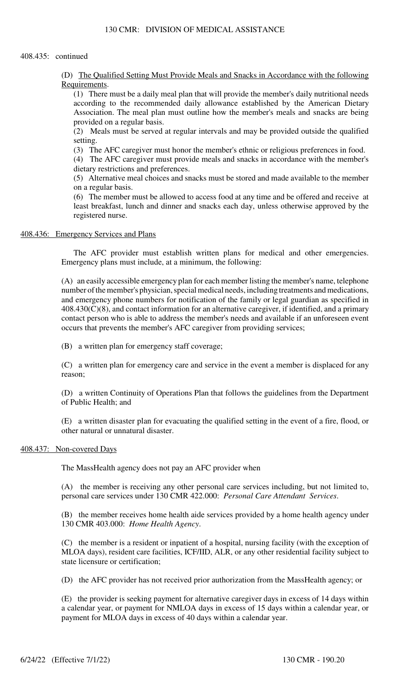#### 408.435: continued

(D) The Qualified Setting Must Provide Meals and Snacks in Accordance with the following Requirements.

(1) There must be a daily meal plan that will provide the member's daily nutritional needs according to the recommended daily allowance established by the American Dietary Association. The meal plan must outline how the member's meals and snacks are being provided on a regular basis.

(2) Meals must be served at regular intervals and may be provided outside the qualified setting.

(3) The AFC caregiver must honor the member's ethnic or religious preferences in food.

(4) The AFC caregiver must provide meals and snacks in accordance with the member's dietary restrictions and preferences.

(5) Alternative meal choices and snacks must be stored and made available to the member on a regular basis.

(6) The member must be allowed to access food at any time and be offered and receive at least breakfast, lunch and dinner and snacks each day, unless otherwise approved by the registered nurse.

#### 408.436: Emergency Services and Plans

The AFC provider must establish written plans for medical and other emergencies. Emergency plans must include, at a minimum, the following:

(A) an easily accessible emergency plan for each member listing the member's name, telephone number of the member's physician, special medical needs, including treatments and medications, and emergency phone numbers for notification of the family or legal guardian as specified in 408.430(C)(8), and contact information for an alternative caregiver, if identified, and a primary contact person who is able to address the member's needs and available if an unforeseen event occurs that prevents the member's AFC caregiver from providing services;

(B) a written plan for emergency staff coverage;

(C) a written plan for emergency care and service in the event a member is displaced for any reason;

(D) a written Continuity of Operations Plan that follows the guidelines from the Department of Public Health; and

(E) a written disaster plan for evacuating the qualified setting in the event of a fire, flood, or other natural or unnatural disaster.

## 408.437: Non-covered Days

The MassHealth agency does not pay an AFC provider when

(A) the member is receiving any other personal care services including, but not limited to, personal care services under 130 CMR 422.000: *Personal Care Attendant Services*.

(B) the member receives home health aide services provided by a home health agency under 130 CMR 403.000: *Home Health Agency*.

(C) the member is a resident or inpatient of a hospital, nursing facility (with the exception of MLOA days), resident care facilities, ICF/IID, ALR, or any other residential facility subject to state licensure or certification;

(D) the AFC provider has not received prior authorization from the MassHealth agency; or

(E) the provider is seeking payment for alternative caregiver days in excess of 14 days within a calendar year, or payment for NMLOA days in excess of 15 days within a calendar year, or payment for MLOA days in excess of 40 days within a calendar year.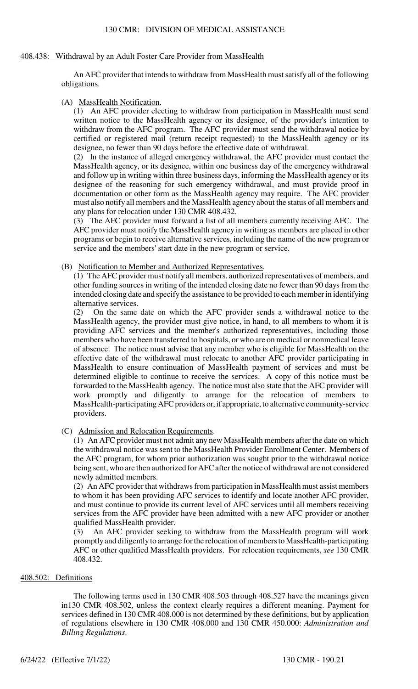## 408.438: Withdrawal by an Adult Foster Care Provider from MassHealth

An AFC provider that intends to withdraw from MassHealth must satisfy all of the following obligations.

## (A) MassHealth Notification.

(1) An AFC provider electing to withdraw from participation in MassHealth must send written notice to the MassHealth agency or its designee, of the provider's intention to withdraw from the AFC program. The AFC provider must send the withdrawal notice by certified or registered mail (return receipt requested) to the MassHealth agency or its designee, no fewer than 90 days before the effective date of withdrawal.

(2) In the instance of alleged emergency withdrawal, the AFC provider must contact the MassHealth agency, or its designee, within one business day of the emergency withdrawal and follow up in writing within three business days, informing the MassHealth agency or its designee of the reasoning for such emergency withdrawal, and must provide proof in documentation or other form as the MassHealth agency may require. The AFC provider must also notify all members and the MassHealth agency about the status of all members and any plans for relocation under 130 CMR 408.432.

(3) The AFC provider must forward a list of all members currently receiving AFC. The AFC provider must notify the MassHealth agency in writing as members are placed in other programs or begin to receive alternative services, including the name of the new program or service and the members' start date in the new program or service.

## (B) Notification to Member and Authorized Representatives.

(1) The AFC provider must notify all members, authorized representatives of members, and other funding sources in writing of the intended closing date no fewer than 90 days from the intended closing date and specify the assistance to be provided to each member in identifying alternative services.

(2) On the same date on which the AFC provider sends a withdrawal notice to the MassHealth agency, the provider must give notice, in hand, to all members to whom it is providing AFC services and the member's authorized representatives, including those members who have been transferred to hospitals, or who are on medical or nonmedical leave of absence. The notice must advise that any member who is eligible for MassHealth on the effective date of the withdrawal must relocate to another AFC provider participating in MassHealth to ensure continuation of MassHealth payment of services and must be determined eligible to continue to receive the services. A copy of this notice must be forwarded to the MassHealth agency. The notice must also state that the AFC provider will work promptly and diligently to arrange for the relocation of members to MassHealth-participating AFC providers or, if appropriate, to alternative community-service providers.

## (C) Admission and Relocation Requirements.

(1) An AFC provider must not admit any new MassHealth members after the date on which the withdrawal notice was sent to the MassHealth Provider Enrollment Center. Members of the AFC program, for whom prior authorization was sought prior to the withdrawal notice being sent, who are then authorized for AFC after the notice of withdrawal are not considered newly admitted members.

(2) An AFC provider that withdraws from participation in MassHealth must assist members to whom it has been providing AFC services to identify and locate another AFC provider, and must continue to provide its current level of AFC services until all members receiving services from the AFC provider have been admitted with a new AFC provider or another qualified MassHealth provider.

(3) An AFC provider seeking to withdraw from the MassHealth program will work promptly and diligently to arrange for the relocation of members to MassHealth-participating AFC or other qualified MassHealth providers. For relocation requirements, *see* 130 CMR 408.432.

# 408.502: Definitions

The following terms used in 130 CMR 408.503 through 408.527 have the meanings given in130 CMR 408.502, unless the context clearly requires a different meaning. Payment for services defined in 130 CMR 408.000 is not determined by these definitions, but by application of regulations elsewhere in 130 CMR 408.000 and 130 CMR 450.000: *Administration and Billing Regulations*.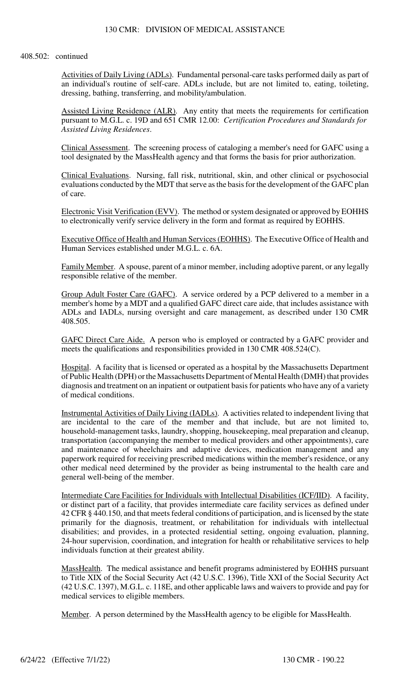Activities of Daily Living (ADLs). Fundamental personal-care tasks performed daily as part of an individual's routine of self-care. ADLs include, but are not limited to, eating, toileting, dressing, bathing, transferring, and mobility/ambulation.

Assisted Living Residence (ALR). Any entity that meets the requirements for certification pursuant to M.G.L. c. 19D and 651 CMR 12.00: *Certification Procedures and Standards for Assisted Living Residences*.

Clinical Assessment. The screening process of cataloging a member's need for GAFC using a tool designated by the MassHealth agency and that forms the basis for prior authorization.

Clinical Evaluations. Nursing, fall risk, nutritional, skin, and other clinical or psychosocial evaluations conducted by the MDT that serve as the basis for the development of the GAFC plan of care.

Electronic Visit Verification (EVV). The method or system designated or approved by EOHHS to electronically verify service delivery in the form and format as required by EOHHS.

Executive Office of Health and Human Services (EOHHS). The Executive Office of Health and Human Services established under M.G.L. c. 6A.

Family Member. A spouse, parent of a minor member, including adoptive parent, or any legally responsible relative of the member.

Group Adult Foster Care (GAFC). A service ordered by a PCP delivered to a member in a member's home by a MDT and a qualified GAFC direct care aide, that includes assistance with ADLs and IADLs, nursing oversight and care management, as described under 130 CMR 408.505.

GAFC Direct Care Aide. A person who is employed or contracted by a GAFC provider and meets the qualifications and responsibilities provided in 130 CMR 408.524(C).

Hospital. A facility that is licensed or operated as a hospital by the Massachusetts Department of Public Health (DPH) or the Massachusetts Department of Mental Health (DMH) that provides diagnosis and treatment on an inpatient or outpatient basis for patients who have any of a variety of medical conditions.

Instrumental Activities of Daily Living (IADLs). A activities related to independent living that are incidental to the care of the member and that include, but are not limited to, household-management tasks, laundry, shopping, housekeeping, meal preparation and cleanup, transportation (accompanying the member to medical providers and other appointments), care and maintenance of wheelchairs and adaptive devices, medication management and any paperwork required for receiving prescribed medications within the member's residence, or any other medical need determined by the provider as being instrumental to the health care and general well-being of the member.

Intermediate Care Facilities for Individuals with Intellectual Disabilities (ICF/IID). A facility, or distinct part of a facility, that provides intermediate care facility services as defined under 42 CFR § 440.150, and that meets federal conditions of participation, and is licensed by the state primarily for the diagnosis, treatment, or rehabilitation for individuals with intellectual disabilities; and provides, in a protected residential setting, ongoing evaluation, planning, 24-hour supervision, coordination, and integration for health or rehabilitative services to help individuals function at their greatest ability.

MassHealth. The medical assistance and benefit programs administered by EOHHS pursuant to Title XIX of the Social Security Act (42 U.S.C. 1396), Title XXI of the Social Security Act (42 U.S.C. 1397), M.G.L. c. 118E, and other applicable laws and waivers to provide and pay for medical services to eligible members.

Member. A person determined by the MassHealth agency to be eligible for MassHealth.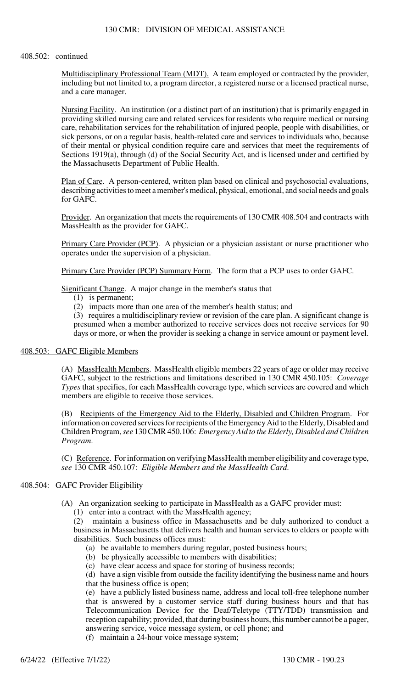Multidisciplinary Professional Team (MDT). A team employed or contracted by the provider, including but not limited to, a program director, a registered nurse or a licensed practical nurse, and a care manager.

Nursing Facility. An institution (or a distinct part of an institution) that is primarily engaged in providing skilled nursing care and related services for residents who require medical or nursing care, rehabilitation services for the rehabilitation of injured people, people with disabilities, or sick persons, or on a regular basis, health-related care and services to individuals who, because of their mental or physical condition require care and services that meet the requirements of Sections 1919(a), through (d) of the Social Security Act, and is licensed under and certified by the Massachusetts Department of Public Health.

Plan of Care. A person-centered, written plan based on clinical and psychosocial evaluations, describing activities to meet a member's medical, physical, emotional, and social needs and goals for GAFC.

Provider. An organization that meets the requirements of 130 CMR 408.504 and contracts with MassHealth as the provider for GAFC.

Primary Care Provider (PCP). A physician or a physician assistant or nurse practitioner who operates under the supervision of a physician.

Primary Care Provider (PCP) Summary Form. The form that a PCP uses to order GAFC.

Significant Change. A major change in the member's status that

(1) is permanent;

(2) impacts more than one area of the member's health status; and

(3) requires a multidisciplinary review or revision of the care plan. A significant change is presumed when a member authorized to receive services does not receive services for 90 days or more, or when the provider is seeking a change in service amount or payment level.

#### 408.503: GAFC Eligible Members

(A) MassHealth Members. MassHealth eligible members 22 years of age or older may receive GAFC, subject to the restrictions and limitations described in 130 CMR 450.105: *Coverage Types* that specifies, for each MassHealth coverage type, which services are covered and which members are eligible to receive those services.

(B) Recipients of the Emergency Aid to the Elderly, Disabled and Children Program. For information on covered services for recipients of the Emergency Aid to the Elderly, Disabled and Children Program, *see* 130 CMR 450.106: *Emergency Aid to the Elderly, Disabled and Children Program*.

(C) Reference. For information on verifying MassHealth member eligibility and coverage type, *see* 130 CMR 450.107: *Eligible Members and the MassHealth Card*.

## 408.504: GAFC Provider Eligibility

(A) An organization seeking to participate in MassHealth as a GAFC provider must:

(1) enter into a contract with the MassHealth agency;

(2) maintain a business office in Massachusetts and be duly authorized to conduct a business in Massachusetts that delivers health and human services to elders or people with disabilities. Such business offices must:

- (a) be available to members during regular, posted business hours;
- (b) be physically accessible to members with disabilities;

(c) have clear access and space for storing of business records;

(d) have a sign visible from outside the facility identifying the business name and hours that the business office is open;

(e) have a publicly listed business name, address and local toll-free telephone number that is answered by a customer service staff during business hours and that has Telecommunication Device for the Deaf/Teletype (TTY/TDD) transmission and reception capability; provided, that during business hours, this number cannot be a pager, answering service, voice message system, or cell phone; and

(f) maintain a 24-hour voice message system;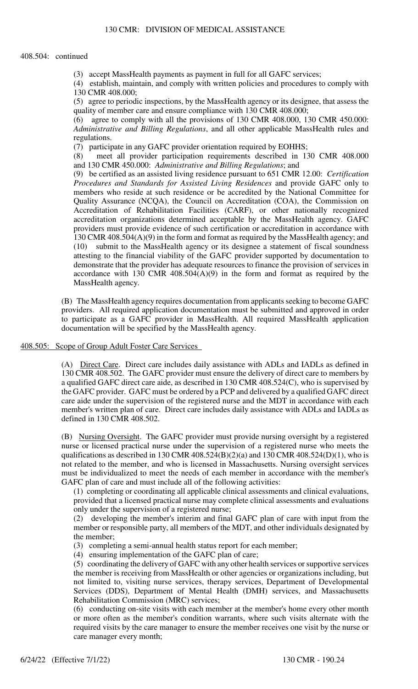#### 408.504: continued

(3) accept MassHealth payments as payment in full for all GAFC services;

(4) establish, maintain, and comply with written policies and procedures to comply with 130 CMR 408.000;

(5) agree to periodic inspections, by the MassHealth agency or its designee, that assess the quality of member care and ensure compliance with 130 CMR 408.000;

(6) agree to comply with all the provisions of 130 CMR 408.000, 130 CMR 450.000: *Administrative and Billing Regulations*, and all other applicable MassHealth rules and regulations.

(7) participate in any GAFC provider orientation required by EOHHS;

(8) meet all provider participation requirements described in 130 CMR 408.000 and 130 CMR 450.000: *Administrative and Billing Regulations*; and

(9) be certified as an assisted living residence pursuant to 651 CMR 12.00: *Certification Procedures and Standards for Assisted Living Residences* and provide GAFC only to members who reside at such residence or be accredited by the National Committee for Quality Assurance (NCQA), the Council on Accreditation (COA), the Commission on Accreditation of Rehabilitation Facilities (CARF), or other nationally recognized accreditation organizations determined acceptable by the MassHealth agency. GAFC providers must provide evidence of such certification or accreditation in accordance with 130 CMR 408.504(A)(9) in the form and format as required by the MassHealth agency; and (10) submit to the MassHealth agency or its designee a statement of fiscal soundness attesting to the financial viability of the GAFC provider supported by documentation to demonstrate that the provider has adequate resources to finance the provision of services in accordance with 130 CMR  $408.504(A)(9)$  in the form and format as required by the MassHealth agency.

(B) The MassHealth agency requires documentation from applicants seeking to become GAFC providers. All required application documentation must be submitted and approved in order to participate as a GAFC provider in MassHealth. All required MassHealth application documentation will be specified by the MassHealth agency.

408.505: Scope of Group Adult Foster Care Services

(A) Direct Care. Direct care includes daily assistance with ADLs and IADLs as defined in 130 CMR 408.502. The GAFC provider must ensure the delivery of direct care to members by a qualified GAFC direct care aide, as described in 130 CMR 408.524(C), who is supervised by the GAFC provider. GAFC must be ordered by a PCP and delivered by a qualified GAFC direct care aide under the supervision of the registered nurse and the MDT in accordance with each member's written plan of care. Direct care includes daily assistance with ADLs and IADLs as defined in 130 CMR 408.502.

(B) Nursing Oversight. The GAFC provider must provide nursing oversight by a registered nurse or licensed practical nurse under the supervision of a registered nurse who meets the qualifications as described in 130 CMR 408.524(B)(2)(a) and 130 CMR 408.524(D)(1), who is not related to the member, and who is licensed in Massachusetts. Nursing oversight services must be individualized to meet the needs of each member in accordance with the member's GAFC plan of care and must include all of the following activities:

(1) completing or coordinating all applicable clinical assessments and clinical evaluations, provided that a licensed practical nurse may complete clinical assessments and evaluations only under the supervision of a registered nurse;

(2) developing the member's interim and final GAFC plan of care with input from the member or responsible party, all members of the MDT, and other individuals designated by the member;

(3) completing a semi-annual health status report for each member;

(4) ensuring implementation of the GAFC plan of care;

(5) coordinating the delivery of GAFC with any other health services or supportive services the member is receiving from MassHealth or other agencies or organizations including, but not limited to, visiting nurse services, therapy services, Department of Developmental Services (DDS), Department of Mental Health (DMH) services, and Massachusetts Rehabilitation Commission (MRC) services;

(6) conducting on-site visits with each member at the member's home every other month or more often as the member's condition warrants, where such visits alternate with the required visits by the care manager to ensure the member receives one visit by the nurse or care manager every month;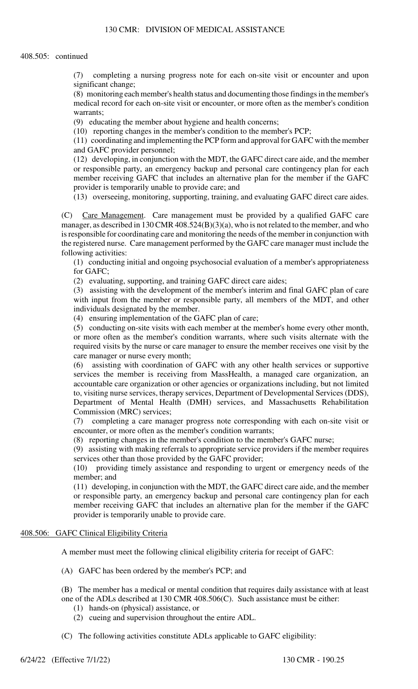(7) completing a nursing progress note for each on-site visit or encounter and upon significant change;

(8) monitoring each member's health status and documenting those findings in the member's medical record for each on-site visit or encounter, or more often as the member's condition warrants;

(9) educating the member about hygiene and health concerns;

(10) reporting changes in the member's condition to the member's PCP;

(11) coordinating and implementing the PCP form and approval for GAFC with the member and GAFC provider personnel;

(12) developing, in conjunction with the MDT, the GAFC direct care aide, and the member or responsible party, an emergency backup and personal care contingency plan for each member receiving GAFC that includes an alternative plan for the member if the GAFC provider is temporarily unable to provide care; and

(13) overseeing, monitoring, supporting, training, and evaluating GAFC direct care aides.

(C) Care Management. Care management must be provided by a qualified GAFC care manager, as described in 130 CMR 408.524(B)(3)(a), who is not related to the member, and who is responsible for coordinating care and monitoring the needs of the member in conjunction with the registered nurse. Care management performed by the GAFC care manager must include the following activities:

(1) conducting initial and ongoing psychosocial evaluation of a member's appropriateness for GAFC;

(2) evaluating, supporting, and training GAFC direct care aides;

(3) assisting with the development of the member's interim and final GAFC plan of care with input from the member or responsible party, all members of the MDT, and other individuals designated by the member.

(4) ensuring implementation of the GAFC plan of care;

(5) conducting on-site visits with each member at the member's home every other month, or more often as the member's condition warrants, where such visits alternate with the required visits by the nurse or care manager to ensure the member receives one visit by the care manager or nurse every month;

(6) assisting with coordination of GAFC with any other health services or supportive services the member is receiving from MassHealth, a managed care organization, an accountable care organization or other agencies or organizations including, but not limited to, visiting nurse services, therapy services, Department of Developmental Services (DDS), Department of Mental Health (DMH) services, and Massachusetts Rehabilitation Commission (MRC) services;

(7) completing a care manager progress note corresponding with each on-site visit or encounter, or more often as the member's condition warrants;

(8) reporting changes in the member's condition to the member's GAFC nurse;

(9) assisting with making referrals to appropriate service providers if the member requires services other than those provided by the GAFC provider;

(10) providing timely assistance and responding to urgent or emergency needs of the member; and

(11) developing, in conjunction with the MDT, the GAFC direct care aide, and the member or responsible party, an emergency backup and personal care contingency plan for each member receiving GAFC that includes an alternative plan for the member if the GAFC provider is temporarily unable to provide care.

# 408.506: GAFC Clinical Eligibility Criteria

A member must meet the following clinical eligibility criteria for receipt of GAFC:

- (A) GAFC has been ordered by the member's PCP; and
- (B) The member has a medical or mental condition that requires daily assistance with at least one of the ADLs described at 130 CMR 408.506(C). Such assistance must be either:
	- (1) hands-on (physical) assistance, or
	- (2) cueing and supervision throughout the entire ADL.
- (C) The following activities constitute ADLs applicable to GAFC eligibility: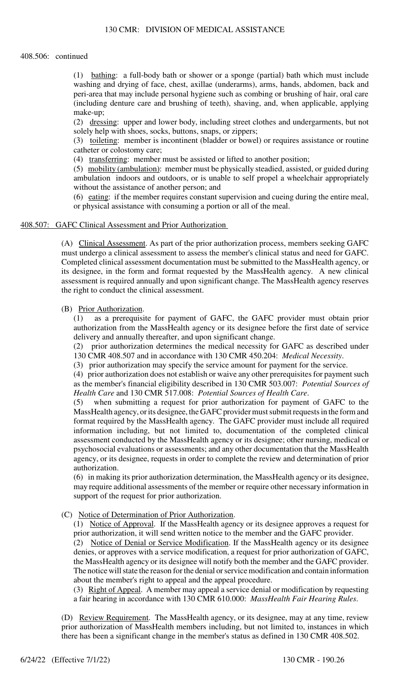#### 408.506: continued

(1) bathing: a full-body bath or shower or a sponge (partial) bath which must include washing and drying of face, chest, axillae (underarms), arms, hands, abdomen, back and peri-area that may include personal hygiene such as combing or brushing of hair, oral care (including denture care and brushing of teeth), shaving, and, when applicable, applying make-up;

(2) dressing: upper and lower body, including street clothes and undergarments, but not solely help with shoes, socks, buttons, snaps, or zippers;

(3) toileting: member is incontinent (bladder or bowel) or requires assistance or routine catheter or colostomy care;

(4) transferring: member must be assisted or lifted to another position;

(5) mobility (ambulation): member must be physically steadied, assisted, or guided during ambulation indoors and outdoors, or is unable to self propel a wheelchair appropriately without the assistance of another person; and

(6) eating: if the member requires constant supervision and cueing during the entire meal, or physical assistance with consuming a portion or all of the meal.

## 408.507: GAFC Clinical Assessment and Prior Authorization

(A) Clinical Assessment. As part of the prior authorization process, members seeking GAFC must undergo a clinical assessment to assess the member's clinical status and need for GAFC. Completed clinical assessment documentation must be submitted to the MassHealth agency, or its designee, in the form and format requested by the MassHealth agency. A new clinical assessment is required annually and upon significant change. The MassHealth agency reserves the right to conduct the clinical assessment.

#### (B) Prior Authorization.

(1) as a prerequisite for payment of GAFC, the GAFC provider must obtain prior authorization from the MassHealth agency or its designee before the first date of service delivery and annually thereafter, and upon significant change.

(2) prior authorization determines the medical necessity for GAFC as described under 130 CMR 408.507 and in accordance with 130 CMR 450.204: *Medical Necessity*.

(3) prior authorization may specify the service amount for payment for the service.

(4) prior authorization does not establish or waive any other prerequisites for payment such as the member's financial eligibility described in 130 CMR 503.007: *Potential Sources of Health Care* and 130 CMR 517.008: *Potential Sources of Health Care*.

(5) when submitting a request for prior authorization for payment of GAFC to the MassHealth agency, or its designee, the GAFC provider must submit requests in the form and format required by the MassHealth agency. The GAFC provider must include all required information including, but not limited to, documentation of the completed clinical assessment conducted by the MassHealth agency or its designee; other nursing, medical or psychosocial evaluations or assessments; and any other documentation that the MassHealth agency, or its designee, requests in order to complete the review and determination of prior authorization.

(6) in making its prior authorization determination, the MassHealth agency or its designee, may require additional assessments of the member or require other necessary information in support of the request for prior authorization.

## (C) Notice of Determination of Prior Authorization.

(1) Notice of Approval. If the MassHealth agency or its designee approves a request for prior authorization, it will send written notice to the member and the GAFC provider.

(2) Notice of Denial or Service Modification. If the MassHealth agency or its designee denies, or approves with a service modification, a request for prior authorization of GAFC, the MassHealth agency or its designee will notify both the member and the GAFC provider. The notice will state the reason for the denial or service modification and contain information about the member's right to appeal and the appeal procedure.

(3) Right of Appeal. A member may appeal a service denial or modification by requesting a fair hearing in accordance with 130 CMR 610.000: *MassHealth Fair Hearing Rules*.

(D) Review Requirement. The MassHealth agency, or its designee, may at any time, review prior authorization of MassHealth members including, but not limited to, instances in which there has been a significant change in the member's status as defined in 130 CMR 408.502.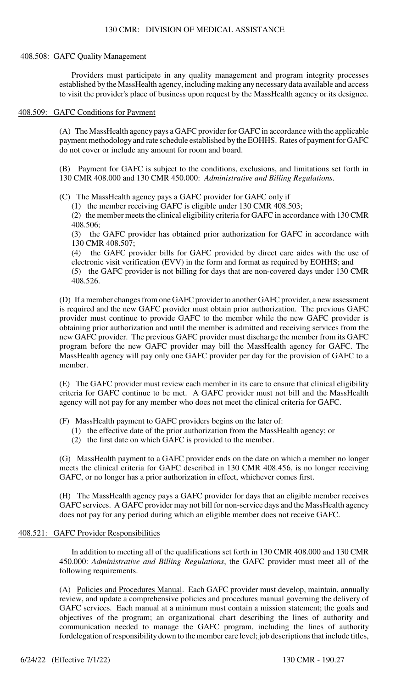## 408.508: GAFC Quality Management

Providers must participate in any quality management and program integrity processes established by the MassHealth agency, including making any necessary data available and access to visit the provider's place of business upon request by the MassHealth agency or its designee.

# 408.509: GAFC Conditions for Payment

(A) The MassHealth agency pays a GAFC provider for GAFC in accordance with the applicable payment methodology and rate schedule established by the EOHHS. Rates of payment for GAFC do not cover or include any amount for room and board.

(B) Payment for GAFC is subject to the conditions, exclusions, and limitations set forth in 130 CMR 408.000 and 130 CMR 450.000: *Administrative and Billing Regulations*.

(C) The MassHealth agency pays a GAFC provider for GAFC only if

(1) the member receiving GAFC is eligible under 130 CMR 408.503;

(2) the member meets the clinical eligibility criteria for GAFC in accordance with 130 CMR 408.506;

(3) the GAFC provider has obtained prior authorization for GAFC in accordance with 130 CMR 408.507;

(4) the GAFC provider bills for GAFC provided by direct care aides with the use of electronic visit verification (EVV) in the form and format as required by EOHHS; and

(5) the GAFC provider is not billing for days that are non-covered days under 130 CMR 408.526.

(D) If a member changes from one GAFC provider to another GAFC provider, a new assessment is required and the new GAFC provider must obtain prior authorization. The previous GAFC provider must continue to provide GAFC to the member while the new GAFC provider is obtaining prior authorization and until the member is admitted and receiving services from the new GAFC provider. The previous GAFC provider must discharge the member from its GAFC program before the new GAFC provider may bill the MassHealth agency for GAFC. The MassHealth agency will pay only one GAFC provider per day for the provision of GAFC to a member.

(E) The GAFC provider must review each member in its care to ensure that clinical eligibility criteria for GAFC continue to be met. A GAFC provider must not bill and the MassHealth agency will not pay for any member who does not meet the clinical criteria for GAFC.

(F) MassHealth payment to GAFC providers begins on the later of:

- (1) the effective date of the prior authorization from the MassHealth agency; or
- (2) the first date on which GAFC is provided to the member.

(G) MassHealth payment to a GAFC provider ends on the date on which a member no longer meets the clinical criteria for GAFC described in 130 CMR 408.456, is no longer receiving GAFC, or no longer has a prior authorization in effect, whichever comes first.

(H) The MassHealth agency pays a GAFC provider for days that an eligible member receives GAFC services. A GAFC provider may not bill for non-service days and the MassHealth agency does not pay for any period during which an eligible member does not receive GAFC.

# 408.521: GAFC Provider Responsibilities

In addition to meeting all of the qualifications set forth in 130 CMR 408.000 and 130 CMR 450.000: *Administrative and Billing Regulations*, the GAFC provider must meet all of the following requirements.

(A) Policies and Procedures Manual. Each GAFC provider must develop, maintain, annually review, and update a comprehensive policies and procedures manual governing the delivery of GAFC services. Each manual at a minimum must contain a mission statement; the goals and objectives of the program; an organizational chart describing the lines of authority and communication needed to manage the GAFC program, including the lines of authority fordelegation of responsibility down to the member care level; job descriptions that include titles,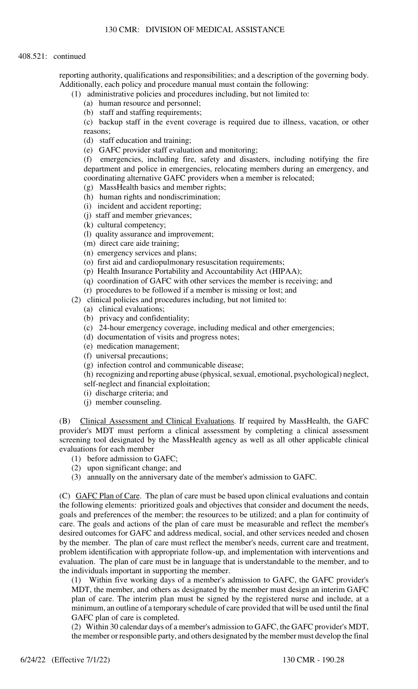reporting authority, qualifications and responsibilities; and a description of the governing body. Additionally, each policy and procedure manual must contain the following:

(1) administrative policies and procedures including, but not limited to:

- (a) human resource and personnel;
- (b) staff and staffing requirements;

(c) backup staff in the event coverage is required due to illness, vacation, or other reasons;

- (d) staff education and training;
- (e) GAFC provider staff evaluation and monitoring;

(f) emergencies, including fire, safety and disasters, including notifying the fire department and police in emergencies, relocating members during an emergency, and coordinating alternative GAFC providers when a member is relocated;

- (g) MassHealth basics and member rights;
- (h) human rights and nondiscrimination;
- (i) incident and accident reporting;
- (j) staff and member grievances;
- (k) cultural competency;
- (l) quality assurance and improvement;
- (m) direct care aide training;
- (n) emergency services and plans;
- (o) first aid and cardiopulmonary resuscitation requirements;
- (p) Health Insurance Portability and Accountability Act (HIPAA);
- (q) coordination of GAFC with other services the member is receiving; and
- (r) procedures to be followed if a member is missing or lost; and
- (2) clinical policies and procedures including, but not limited to:
	- (a) clinical evaluations;
	- (b) privacy and confidentiality;
	- (c) 24-hour emergency coverage, including medical and other emergencies;
	- (d) documentation of visits and progress notes;
	- (e) medication management;
	- (f) universal precautions;
	- (g) infection control and communicable disease;
	- (h) recognizing and reporting abuse (physical, sexual, emotional, psychological) neglect,
	- self-neglect and financial exploitation;
	- (i) discharge criteria; and
	- (j) member counseling.

(B) Clinical Assessment and Clinical Evaluations. If required by MassHealth, the GAFC provider's MDT must perform a clinical assessment by completing a clinical assessment screening tool designated by the MassHealth agency as well as all other applicable clinical evaluations for each member

- (1) before admission to GAFC;
- (2) upon significant change; and
- (3) annually on the anniversary date of the member's admission to GAFC.

(C) GAFC Plan of Care. The plan of care must be based upon clinical evaluations and contain the following elements: prioritized goals and objectives that consider and document the needs, goals and preferences of the member; the resources to be utilized; and a plan for continuity of care. The goals and actions of the plan of care must be measurable and reflect the member's desired outcomes for GAFC and address medical, social, and other services needed and chosen by the member. The plan of care must reflect the member's needs, current care and treatment, problem identification with appropriate follow-up, and implementation with interventions and evaluation. The plan of care must be in language that is understandable to the member, and to the individuals important in supporting the member.

(1) Within five working days of a member's admission to GAFC, the GAFC provider's MDT, the member, and others as designated by the member must design an interim GAFC plan of care. The interim plan must be signed by the registered nurse and include, at a minimum, an outline of a temporary schedule of care provided that will be used until the final GAFC plan of care is completed.

(2) Within 30 calendar days of a member's admission to GAFC, the GAFC provider's MDT, the member or responsible party, and others designated by the member must develop the final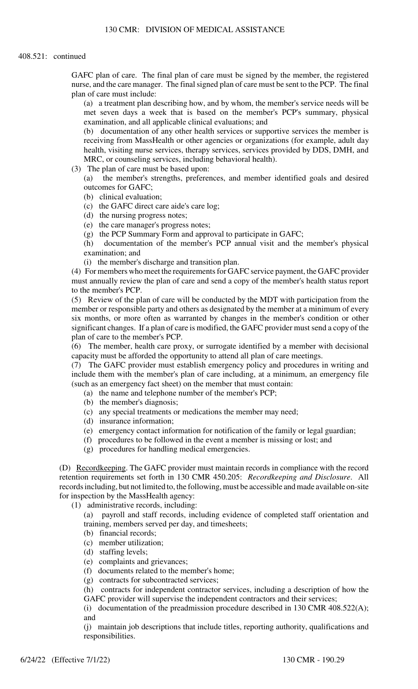GAFC plan of care. The final plan of care must be signed by the member, the registered nurse, and the care manager. The final signed plan of care must be sent to the PCP. The final plan of care must include:

(a) a treatment plan describing how, and by whom, the member's service needs will be met seven days a week that is based on the member's PCP's summary, physical examination, and all applicable clinical evaluations; and

(b) documentation of any other health services or supportive services the member is receiving from MassHealth or other agencies or organizations (for example, adult day health, visiting nurse services, therapy services, services provided by DDS, DMH, and MRC, or counseling services, including behavioral health).

(3) The plan of care must be based upon:

(a) the member's strengths, preferences, and member identified goals and desired outcomes for GAFC;

- (b) clinical evaluation;
- (c) the GAFC direct care aide's care log;
- (d) the nursing progress notes;
- (e) the care manager's progress notes;
- (g) the PCP Summary Form and approval to participate in GAFC;

(h) documentation of the member's PCP annual visit and the member's physical examination; and

(i) the member's discharge and transition plan.

(4) For members who meet the requirements for GAFC service payment, the GAFC provider must annually review the plan of care and send a copy of the member's health status report to the member's PCP.

(5) Review of the plan of care will be conducted by the MDT with participation from the member or responsible party and others as designated by the member at a minimum of every six months, or more often as warranted by changes in the member's condition or other significant changes. If a plan of care is modified, the GAFC provider must send a copy of the plan of care to the member's PCP.

(6) The member, health care proxy, or surrogate identified by a member with decisional capacity must be afforded the opportunity to attend all plan of care meetings.

(7) The GAFC provider must establish emergency policy and procedures in writing and include them with the member's plan of care including, at a minimum, an emergency file (such as an emergency fact sheet) on the member that must contain:

- (a) the name and telephone number of the member's PCP;
- (b) the member's diagnosis;
- (c) any special treatments or medications the member may need;
- (d) insurance information;
- (e) emergency contact information for notification of the family or legal guardian;
- (f) procedures to be followed in the event a member is missing or lost; and
- (g) procedures for handling medical emergencies.

(D) Recordkeeping. The GAFC provider must maintain records in compliance with the record retention requirements set forth in 130 CMR 450.205: *Recordkeeping and Disclosure*. All records including, but not limited to, the following, must be accessible and made available on-site for inspection by the MassHealth agency:

(1) administrative records, including:

(a) payroll and staff records, including evidence of completed staff orientation and training, members served per day, and timesheets;

- (b) financial records;
- (c) member utilization;
- (d) staffing levels;
- (e) complaints and grievances;
- (f) documents related to the member's home;
- (g) contracts for subcontracted services;

(h) contracts for independent contractor services, including a description of how the GAFC provider will supervise the independent contractors and their services;

(i) documentation of the preadmission procedure described in 130 CMR 408.522(A); and

(j) maintain job descriptions that include titles, reporting authority, qualifications and responsibilities.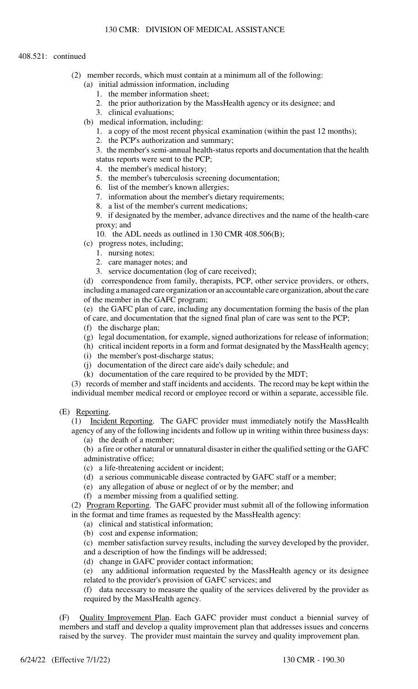- (2) member records, which must contain at a minimum all of the following:
	- (a) initial admission information, including
		- 1. the member information sheet;
		- 2. the prior authorization by the MassHealth agency or its designee; and
		- 3. clinical evaluations;
	- (b) medical information, including:
		- 1. a copy of the most recent physical examination (within the past 12 months);
		- 2. the PCP's authorization and summary;

3. the member's semi-annual health-status reports and documentation that the health status reports were sent to the PCP;

- 4. the member's medical history;
- 5. the member's tuberculosis screening documentation;
- 6. list of the member's known allergies;
- 7. information about the member's dietary requirements;
- 8. a list of the member's current medications;

9. if designated by the member, advance directives and the name of the health-care proxy; and

10. the ADL needs as outlined in 130 CMR 408.506(B);

(c) progress notes, including;

- 1. nursing notes;
- 2. care manager notes; and
- 3. service documentation (log of care received);

(d) correspondence from family, therapists, PCP, other service providers, or others, including a managed care organization or an accountable care organization, about the care of the member in the GAFC program;

(e) the GAFC plan of care, including any documentation forming the basis of the plan of care, and documentation that the signed final plan of care was sent to the PCP;

- (f) the discharge plan;
- (g) legal documentation, for example, signed authorizations for release of information;
- (h) critical incident reports in a form and format designated by the MassHealth agency;
- (i) the member's post-discharge status;
- (j) documentation of the direct care aide's daily schedule; and
- (k) documentation of the care required to be provided by the MDT;

(3) records of member and staff incidents and accidents. The record may be kept within the individual member medical record or employee record or within a separate, accessible file.

(E) Reporting.

(1) Incident Reporting. The GAFC provider must immediately notify the MassHealth agency of any of the following incidents and follow up in writing within three business days:

(a) the death of a member;

(b) a fire or other natural or unnatural disaster in either the qualified setting or the GAFC administrative office;

- (c) a life-threatening accident or incident;
- (d) a serious communicable disease contracted by GAFC staff or a member;
- (e) any allegation of abuse or neglect of or by the member; and
- (f) a member missing from a qualified setting.

(2) Program Reporting. The GAFC provider must submit all of the following information in the format and time frames as requested by the MassHealth agency:

- (a) clinical and statistical information;
- (b) cost and expense information;

(c) member satisfaction survey results, including the survey developed by the provider, and a description of how the findings will be addressed;

(d) change in GAFC provider contact information;

(e) any additional information requested by the MassHealth agency or its designee related to the provider's provision of GAFC services; and

(f) data necessary to measure the quality of the services delivered by the provider as required by the MassHealth agency.

(F) Quality Improvement Plan. Each GAFC provider must conduct a biennial survey of members and staff and develop a quality improvement plan that addresses issues and concerns raised by the survey. The provider must maintain the survey and quality improvement plan.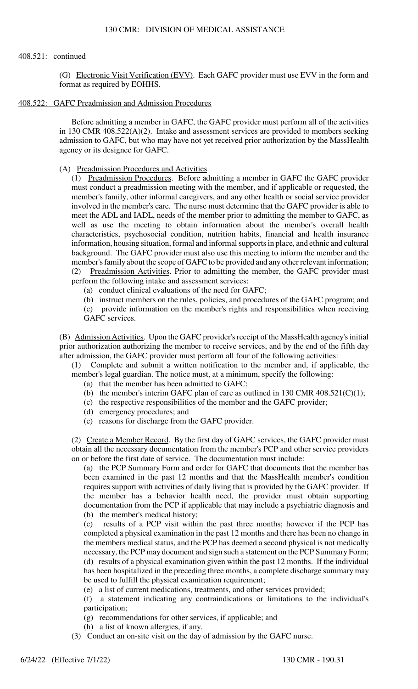(G) Electronic Visit Verification (EVV). Each GAFC provider must use EVV in the form and format as required by EOHHS.

408.522: GAFC Preadmission and Admission Procedures

Before admitting a member in GAFC, the GAFC provider must perform all of the activities in 130 CMR 408.522(A)(2). Intake and assessment services are provided to members seeking admission to GAFC, but who may have not yet received prior authorization by the MassHealth agency or its designee for GAFC.

#### (A) Preadmission Procedures and Activities

(1) Preadmission Procedures. Before admitting a member in GAFC the GAFC provider must conduct a preadmission meeting with the member, and if applicable or requested, the member's family, other informal caregivers, and any other health or social service provider involved in the member's care. The nurse must determine that the GAFC provider is able to meet the ADL and IADL, needs of the member prior to admitting the member to GAFC, as well as use the meeting to obtain information about the member's overall health characteristics, psychosocial condition, nutrition habits, financial and health insurance information, housing situation, formal and informal supports in place, and ethnic and cultural background. The GAFC provider must also use this meeting to inform the member and the member's family about the scope of GAFC to be provided and any other relevant information; (2) Preadmission Activities. Prior to admitting the member, the GAFC provider must perform the following intake and assessment services:

(a) conduct clinical evaluations of the need for GAFC;

(b) instruct members on the rules, policies, and procedures of the GAFC program; and

(c) provide information on the member's rights and responsibilities when receiving GAFC services.

(B) Admission Activities. Upon the GAFC provider's receipt of the MassHealth agency's initial prior authorization authorizing the member to receive services, and by the end of the fifth day after admission, the GAFC provider must perform all four of the following activities:

(1) Complete and submit a written notification to the member and, if applicable, the member's legal guardian. The notice must, at a minimum, specify the following:

(a) that the member has been admitted to GAFC;

(b) the member's interim GAFC plan of care as outlined in  $130$  CMR  $408.521(C)(1)$ ;

- (c) the respective responsibilities of the member and the GAFC provider;
- (d) emergency procedures; and
- (e) reasons for discharge from the GAFC provider.

(2) Create a Member Record. By the first day of GAFC services, the GAFC provider must obtain all the necessary documentation from the member's PCP and other service providers on or before the first date of service. The documentation must include:

(a) the PCP Summary Form and order for GAFC that documents that the member has been examined in the past 12 months and that the MassHealth member's condition requires support with activities of daily living that is provided by the GAFC provider. If the member has a behavior health need, the provider must obtain supporting documentation from the PCP if applicable that may include a psychiatric diagnosis and (b) the member's medical history;

(c) results of a PCP visit within the past three months; however if the PCP has completed a physical examination in the past 12 months and there has been no change in the members medical status, and the PCP has deemed a second physical is not medically necessary, the PCP may document and sign such a statement on the PCP Summary Form; (d) results of a physical examination given within the past 12 months. If the individual has been hospitalized in the preceding three months, a complete discharge summary may be used to fulfill the physical examination requirement;

(e) a list of current medications, treatments, and other services provided;

(f) a statement indicating any contraindications or limitations to the individual's participation;

(g) recommendations for other services, if applicable; and

(h) a list of known allergies, if any.

(3) Conduct an on-site visit on the day of admission by the GAFC nurse.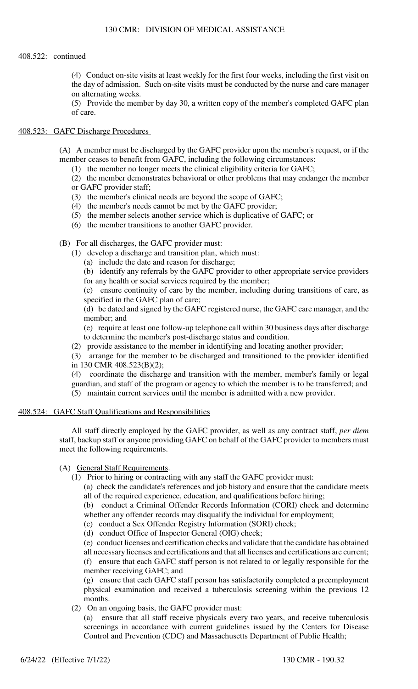## 130 CMR: DIVISION OF MEDICAL ASSISTANCE

## 408.522: continued

(4) Conduct on-site visits at least weekly for the first four weeks, including the first visit on the day of admission. Such on-site visits must be conducted by the nurse and care manager on alternating weeks.

(5) Provide the member by day 30, a written copy of the member's completed GAFC plan of care.

# 408.523: GAFC Discharge Procedures

(A) A member must be discharged by the GAFC provider upon the member's request, or if the member ceases to benefit from GAFC, including the following circumstances:

(1) the member no longer meets the clinical eligibility criteria for GAFC;

(2) the member demonstrates behavioral or other problems that may endanger the member or GAFC provider staff;

- (3) the member's clinical needs are beyond the scope of GAFC;
- (4) the member's needs cannot be met by the GAFC provider;
- (5) the member selects another service which is duplicative of GAFC; or
- (6) the member transitions to another GAFC provider.

(B) For all discharges, the GAFC provider must:

- (1) develop a discharge and transition plan, which must:
	- (a) include the date and reason for discharge;

(b) identify any referrals by the GAFC provider to other appropriate service providers for any health or social services required by the member;

(c) ensure continuity of care by the member, including during transitions of care, as specified in the GAFC plan of care;

(d) be dated and signed by the GAFC registered nurse, the GAFC care manager, and the member; and

(e) require at least one follow-up telephone call within 30 business days after discharge to determine the member's post-discharge status and condition.

(2) provide assistance to the member in identifying and locating another provider;

(3) arrange for the member to be discharged and transitioned to the provider identified in 130 CMR 408.523(B)(2);

(4) coordinate the discharge and transition with the member, member's family or legal guardian, and staff of the program or agency to which the member is to be transferred; and

(5) maintain current services until the member is admitted with a new provider.

## 408.524: GAFC Staff Qualifications and Responsibilities

All staff directly employed by the GAFC provider, as well as any contract staff, *per diem* staff, backup staff or anyone providing GAFC on behalf of the GAFC provider to members must meet the following requirements.

# (A) General Staff Requirements.

(1) Prior to hiring or contracting with any staff the GAFC provider must:

(a) check the candidate's references and job history and ensure that the candidate meets all of the required experience, education, and qualifications before hiring;

(b) conduct a Criminal Offender Records Information (CORI) check and determine whether any offender records may disqualify the individual for employment;

- (c) conduct a Sex Offender Registry Information (SORI) check;
- (d) conduct Office of Inspector General (OIG) check;

(e) conduct licenses and certification checks and validate that the candidate has obtained all necessary licenses and certifications and that all licenses and certifications are current; (f) ensure that each GAFC staff person is not related to or legally responsible for the member receiving GAFC; and

(g) ensure that each GAFC staff person has satisfactorily completed a preemployment physical examination and received a tuberculosis screening within the previous 12 months.

(2) On an ongoing basis, the GAFC provider must:

(a) ensure that all staff receive physicals every two years, and receive tuberculosis screenings in accordance with current guidelines issued by the Centers for Disease Control and Prevention (CDC) and Massachusetts Department of Public Health;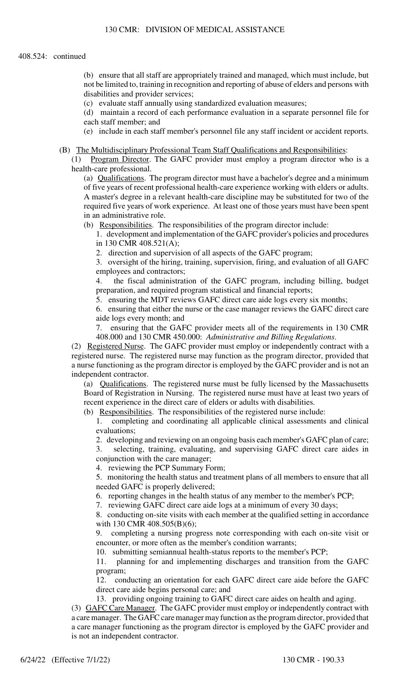(b) ensure that all staff are appropriately trained and managed, which must include, but not be limited to, training in recognition and reporting of abuse of elders and persons with disabilities and provider services;

(c) evaluate staff annually using standardized evaluation measures;

(d) maintain a record of each performance evaluation in a separate personnel file for each staff member; and

(e) include in each staff member's personnel file any staff incident or accident reports.

## (B) The Multidisciplinary Professional Team Staff Qualifications and Responsibilities:

(1) Program Director. The GAFC provider must employ a program director who is a health-care professional.

(a) Qualifications. The program director must have a bachelor's degree and a minimum of five years of recent professional health-care experience working with elders or adults. A master's degree in a relevant health-care discipline may be substituted for two of the required five years of work experience. At least one of those years must have been spent in an administrative role.

(b) Responsibilities. The responsibilities of the program director include:

1. development and implementation of the GAFC provider's policies and procedures in 130 CMR 408.521(A);

2. direction and supervision of all aspects of the GAFC program;

3. oversight of the hiring, training, supervision, firing, and evaluation of all GAFC employees and contractors;

4. the fiscal administration of the GAFC program, including billing, budget preparation, and required program statistical and financial reports;

5. ensuring the MDT reviews GAFC direct care aide logs every six months;

6. ensuring that either the nurse or the case manager reviews the GAFC direct care aide logs every month; and

7. ensuring that the GAFC provider meets all of the requirements in 130 CMR 408.000 and 130 CMR 450.000: *Administrative and Billing Regulations*.

(2) Registered Nurse. The GAFC provider must employ or independently contract with a registered nurse. The registered nurse may function as the program director, provided that a nurse functioning as the program director is employed by the GAFC provider and is not an independent contractor.

(a) Qualifications. The registered nurse must be fully licensed by the Massachusetts Board of Registration in Nursing. The registered nurse must have at least two years of recent experience in the direct care of elders or adults with disabilities.

(b) Responsibilities. The responsibilities of the registered nurse include:

1. completing and coordinating all applicable clinical assessments and clinical evaluations;

2. developing and reviewing on an ongoing basis each member's GAFC plan of care;

3. selecting, training, evaluating, and supervising GAFC direct care aides in conjunction with the care manager;

4. reviewing the PCP Summary Form;

5. monitoring the health status and treatment plans of all members to ensure that all needed GAFC is properly delivered;

6. reporting changes in the health status of any member to the member's PCP;

7. reviewing GAFC direct care aide logs at a minimum of every 30 days;

8. conducting on-site visits with each member at the qualified setting in accordance with 130 CMR 408.505(B)(6);

9. completing a nursing progress note corresponding with each on-site visit or encounter, or more often as the member's condition warrants;

10. submitting semiannual health-status reports to the member's PCP;

11. planning for and implementing discharges and transition from the GAFC program;

12. conducting an orientation for each GAFC direct care aide before the GAFC direct care aide begins personal care; and

13. providing ongoing training to GAFC direct care aides on health and aging.

(3) GAFC Care Manager. The GAFC provider must employ or independently contract with a care manager. The GAFC care manager may function as the program director, provided that a care manager functioning as the program director is employed by the GAFC provider and is not an independent contractor.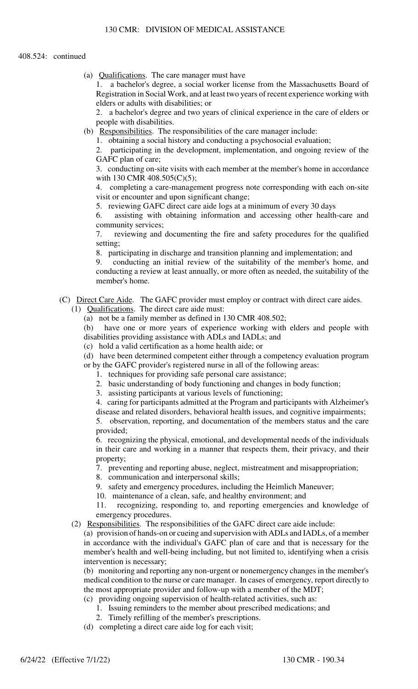(a) Qualifications. The care manager must have

1. a bachelor's degree, a social worker license from the Massachusetts Board of Registration in Social Work, and at least two years of recent experience working with elders or adults with disabilities; or

2. a bachelor's degree and two years of clinical experience in the care of elders or people with disabilities.

(b) Responsibilities. The responsibilities of the care manager include:

1. obtaining a social history and conducting a psychosocial evaluation;

2. participating in the development, implementation, and ongoing review of the GAFC plan of care;

3. conducting on-site visits with each member at the member's home in accordance with 130 CMR 408.505(C)(5);

4. completing a care-management progress note corresponding with each on-site visit or encounter and upon significant change;

5. reviewing GAFC direct care aide logs at a minimum of every 30 days

6. assisting with obtaining information and accessing other health-care and community services;

7. reviewing and documenting the fire and safety procedures for the qualified setting;

8. participating in discharge and transition planning and implementation; and

9. conducting an initial review of the suitability of the member's home, and conducting a review at least annually, or more often as needed, the suitability of the member's home.

- (C) Direct Care Aide. The GAFC provider must employ or contract with direct care aides.
	- (1) Qualifications. The direct care aide must:
		- (a) not be a family member as defined in 130 CMR 408.502;

(b) have one or more years of experience working with elders and people with disabilities providing assistance with ADLs and IADLs; and

(c) hold a valid certification as a home health aide; or

(d) have been determined competent either through a competency evaluation program or by the GAFC provider's registered nurse in all of the following areas:

- 1. techniques for providing safe personal care assistance;
- 2. basic understanding of body functioning and changes in body function;
- 3. assisting participants at various levels of functioning;

4. caring for participants admitted at the Program and participants with Alzheimer's

disease and related disorders, behavioral health issues, and cognitive impairments; 5. observation, reporting, and documentation of the members status and the care provided;

6. recognizing the physical, emotional, and developmental needs of the individuals in their care and working in a manner that respects them, their privacy, and their property;

7. preventing and reporting abuse, neglect, mistreatment and misappropriation;

8. communication and interpersonal skills;

9. safety and emergency procedures, including the Heimlich Maneuver;

10. maintenance of a clean, safe, and healthy environment; and

11. recognizing, responding to, and reporting emergencies and knowledge of emergency procedures.

(2) Responsibilities. The responsibilities of the GAFC direct care aide include:

(a) provision of hands-on or cueing and supervision with ADLs and IADLs, of a member in accordance with the individual's GAFC plan of care and that is necessary for the member's health and well-being including, but not limited to, identifying when a crisis intervention is necessary;

(b) monitoring and reporting any non-urgent or nonemergency changes in the member's medical condition to the nurse or care manager. In cases of emergency, report directly to the most appropriate provider and follow-up with a member of the MDT;

(c) providing ongoing supervision of health-related activities, such as:

- 1. Issuing reminders to the member about prescribed medications; and
- 2. Timely refilling of the member's prescriptions.
- (d) completing a direct care aide log for each visit;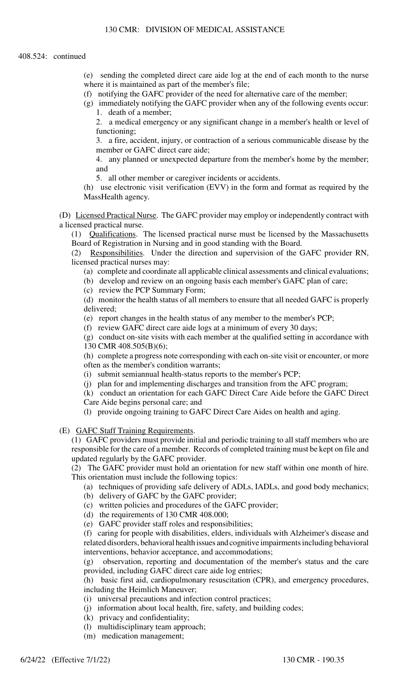(e) sending the completed direct care aide log at the end of each month to the nurse where it is maintained as part of the member's file;

(f) notifying the GAFC provider of the need for alternative care of the member;

(g) immediately notifying the GAFC provider when any of the following events occur: 1. death of a member;

2. a medical emergency or any significant change in a member's health or level of functioning;

3. a fire, accident, injury, or contraction of a serious communicable disease by the member or GAFC direct care aide;

4. any planned or unexpected departure from the member's home by the member; and

5. all other member or caregiver incidents or accidents.

(h) use electronic visit verification (EVV) in the form and format as required by the MassHealth agency.

(D) Licensed Practical Nurse. The GAFC provider may employ or independently contract with a licensed practical nurse.

(1) Qualifications. The licensed practical nurse must be licensed by the Massachusetts Board of Registration in Nursing and in good standing with the Board.

(2) Responsibilities. Under the direction and supervision of the GAFC provider RN, licensed practical nurses may:

(a) complete and coordinate all applicable clinical assessments and clinical evaluations;

(b) develop and review on an ongoing basis each member's GAFC plan of care;

(c) review the PCP Summary Form;

(d) monitor the health status of all members to ensure that all needed GAFC is properly delivered;

(e) report changes in the health status of any member to the member's PCP;

(f) review GAFC direct care aide logs at a minimum of every 30 days;

(g) conduct on-site visits with each member at the qualified setting in accordance with 130 CMR 408.505(B)(6);

(h) complete a progress note corresponding with each on-site visit or encounter, or more often as the member's condition warrants;

(i) submit semiannual health-status reports to the member's PCP;

(j) plan for and implementing discharges and transition from the AFC program;

(k) conduct an orientation for each GAFC Direct Care Aide before the GAFC Direct

Care Aide begins personal care; and

(l) provide ongoing training to GAFC Direct Care Aides on health and aging.

(E) GAFC Staff Training Requirements.

(1) GAFC providers must provide initial and periodic training to all staff members who are responsible for the care of a member. Records of completed training must be kept on file and updated regularly by the GAFC provider.

(2) The GAFC provider must hold an orientation for new staff within one month of hire. This orientation must include the following topics:

(a) techniques of providing safe delivery of ADLs, IADLs, and good body mechanics;

- (b) delivery of GAFC by the GAFC provider;
- (c) written policies and procedures of the GAFC provider;
- (d) the requirements of 130 CMR 408.000;
- (e) GAFC provider staff roles and responsibilities;

(f) caring for people with disabilities, elders, individuals with Alzheimer's disease and related disorders, behavioral health issues and cognitive impairments including behavioral interventions, behavior acceptance, and accommodations;

(g) observation, reporting and documentation of the member's status and the care provided, including GAFC direct care aide log entries;

(h) basic first aid, cardiopulmonary resuscitation (CPR), and emergency procedures, including the Heimlich Maneuver;

- (i) universal precautions and infection control practices;
- (j) information about local health, fire, safety, and building codes;
- (k) privacy and confidentiality;
- (l) multidisciplinary team approach;
- (m) medication management;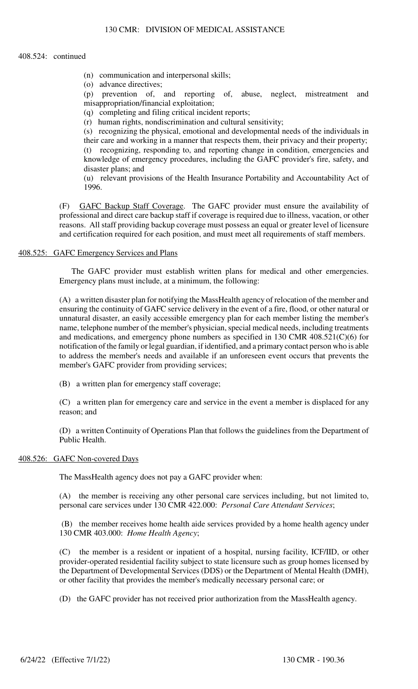- (n) communication and interpersonal skills;
- (o) advance directives;

(p) prevention of, and reporting of, abuse, neglect, mistreatment and misappropriation/financial exploitation;

(q) completing and filing critical incident reports;

(r) human rights, nondiscrimination and cultural sensitivity;

(s) recognizing the physical, emotional and developmental needs of the individuals in their care and working in a manner that respects them, their privacy and their property; (t) recognizing, responding to, and reporting change in condition, emergencies and

knowledge of emergency procedures, including the GAFC provider's fire, safety, and disaster plans; and

(u) relevant provisions of the Health Insurance Portability and Accountability Act of 1996.

(F) GAFC Backup Staff Coverage. The GAFC provider must ensure the availability of professional and direct care backup staff if coverage is required due to illness, vacation, or other reasons. All staff providing backup coverage must possess an equal or greater level of licensure and certification required for each position, and must meet all requirements of staff members.

## 408.525: GAFC Emergency Services and Plans

The GAFC provider must establish written plans for medical and other emergencies. Emergency plans must include, at a minimum, the following:

(A) a written disaster plan for notifying the MassHealth agency of relocation of the member and ensuring the continuity of GAFC service delivery in the event of a fire, flood, or other natural or unnatural disaster, an easily accessible emergency plan for each member listing the member's name, telephone number of the member's physician, special medical needs, including treatments and medications, and emergency phone numbers as specified in 130 CMR 408.521(C)(6) for notification of the family or legal guardian, if identified, and a primary contact person who is able to address the member's needs and available if an unforeseen event occurs that prevents the member's GAFC provider from providing services;

(B) a written plan for emergency staff coverage;

(C) a written plan for emergency care and service in the event a member is displaced for any reason; and

(D) a written Continuity of Operations Plan that follows the guidelines from the Department of Public Health.

#### 408.526: GAFC Non-covered Days

The MassHealth agency does not pay a GAFC provider when:

(A) the member is receiving any other personal care services including, but not limited to, personal care services under 130 CMR 422.000: *Personal Care Attendant Services*;

(B) the member receives home health aide services provided by a home health agency under 130 CMR 403.000: *Home Health Agency*;

(C) the member is a resident or inpatient of a hospital, nursing facility, ICF/IID, or other provider-operated residential facility subject to state licensure such as group homes licensed by the Department of Developmental Services (DDS) or the Department of Mental Health (DMH), or other facility that provides the member's medically necessary personal care; or

(D) the GAFC provider has not received prior authorization from the MassHealth agency.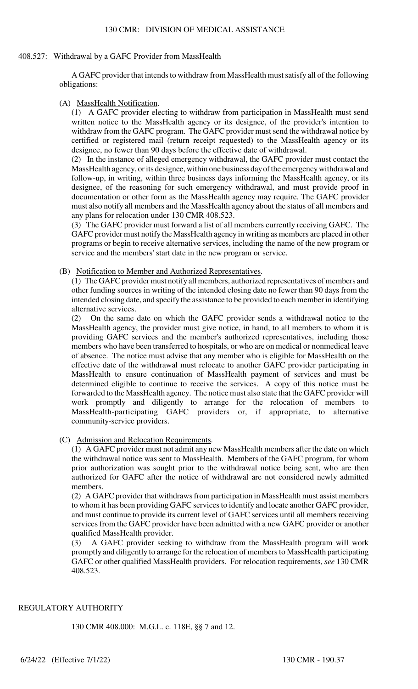#### 408.527: Withdrawal by a GAFC Provider from MassHealth

A GAFC provider that intends to withdraw from MassHealth must satisfy all of the following obligations:

#### (A) MassHealth Notification.

(1) A GAFC provider electing to withdraw from participation in MassHealth must send written notice to the MassHealth agency or its designee, of the provider's intention to withdraw from the GAFC program. The GAFC provider must send the withdrawal notice by certified or registered mail (return receipt requested) to the MassHealth agency or its designee, no fewer than 90 days before the effective date of withdrawal.

(2) In the instance of alleged emergency withdrawal, the GAFC provider must contact the MassHealth agency, or its designee, within one business day of the emergency withdrawal and follow-up, in writing, within three business days informing the MassHealth agency, or its designee, of the reasoning for such emergency withdrawal, and must provide proof in documentation or other form as the MassHealth agency may require. The GAFC provider must also notify all members and the MassHealth agency about the status of all members and any plans for relocation under 130 CMR 408.523.

(3) The GAFC provider must forward a list of all members currently receiving GAFC. The GAFC provider must notify the MassHealth agency in writing as members are placed in other programs or begin to receive alternative services, including the name of the new program or service and the members' start date in the new program or service.

#### (B) Notification to Member and Authorized Representatives.

(1) The GAFC provider must notify all members, authorized representatives of members and other funding sources in writing of the intended closing date no fewer than 90 days from the intended closing date, and specify the assistance to be provided to each member in identifying alternative services.

(2) On the same date on which the GAFC provider sends a withdrawal notice to the MassHealth agency, the provider must give notice, in hand, to all members to whom it is providing GAFC services and the member's authorized representatives, including those members who have been transferred to hospitals, or who are on medical or nonmedical leave of absence. The notice must advise that any member who is eligible for MassHealth on the effective date of the withdrawal must relocate to another GAFC provider participating in MassHealth to ensure continuation of MassHealth payment of services and must be determined eligible to continue to receive the services. A copy of this notice must be forwarded to the MassHealth agency. The notice must also state that the GAFC provider will work promptly and diligently to arrange for the relocation of members to MassHealth-participating GAFC providers or, if appropriate, to alternative community-service providers.

## (C) Admission and Relocation Requirements.

(1) A GAFC provider must not admit any new MassHealth members after the date on which the withdrawal notice was sent to MassHealth. Members of the GAFC program, for whom prior authorization was sought prior to the withdrawal notice being sent, who are then authorized for GAFC after the notice of withdrawal are not considered newly admitted members.

(2) A GAFC provider that withdraws from participation in MassHealth must assist members to whom it has been providing GAFC services to identify and locate another GAFC provider, and must continue to provide its current level of GAFC services until all members receiving services from the GAFC provider have been admitted with a new GAFC provider or another qualified MassHealth provider.

(3) A GAFC provider seeking to withdraw from the MassHealth program will work promptly and diligently to arrange for the relocation of members to MassHealth participating GAFC or other qualified MassHealth providers. For relocation requirements, *see* 130 CMR 408.523.

## REGULATORY AUTHORITY

130 CMR 408.000: M.G.L. c. 118E, §§ 7 and 12.